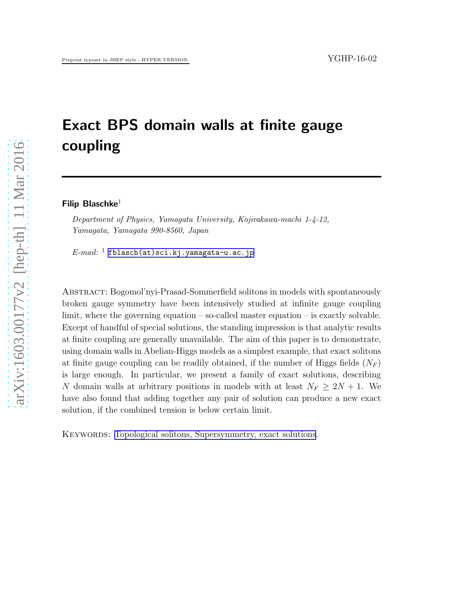# Exact BPS domain walls at finite gauge coupling

Filip Blaschke $1$ 

*Department of Physics, Yamagata University, Kojirakawa-machi 1-4-12, Yamagata, Yamagata 990-8560, Japan*

*E-mail:* <sup>1</sup> [fblasch\(at\)sci.kj.yamagata-u.ac.jp](mailto:fblasch(at)sci.kj.yamagata-u.ac.jp)

Abstract: Bogomol'nyi-Prasad-Sommerfield solitons in models with spontaneously broken gauge symmetry have been intensively studied at infinite gauge coupling limit, where the governing equation  $-\text{so-called master equation} - \text{is exactly solvable.}$ Except of handful of special solutions, the standing impression is that analytic results at finite coupling are generally unavailable. The aim of this paper is to demonstrate, using domain walls in Abelian-Higgs models as a simplest example, that exact solitons at finite gauge coupling can be readily obtained, if the number of Higgs fields  $(N_F)$ is large enough. In particular, we present a family of exact solutions, describing N domain walls at arbitrary positions in models with at least  $N_F \geq 2N + 1$ . We have also found that adding together any pair of solution can produce a new exact solution, if the combined tension is below certain limit.

KEYWORDS: [Topological solitons, Supersymmetry, exact solutions](http://jhep.sissa.it/stdsearch).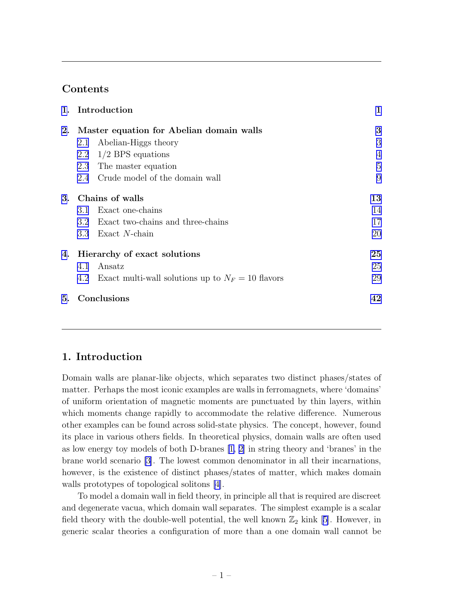# Contents

|    | 1. Introduction                                            | $\mathbf 1$    |
|----|------------------------------------------------------------|----------------|
| 2. | Master equation for Abelian domain walls                   | 3              |
|    | Abelian-Higgs theory<br>2.1                                | 3              |
|    | $1/2$ BPS equations<br>2.2                                 | $\overline{4}$ |
|    | The master equation<br>2.3                                 | 5              |
|    | 2.4 Crude model of the domain wall                         | 9              |
|    | 3. Chains of walls                                         | 13             |
|    | Exact one-chains<br>3.1                                    | 14             |
|    | 3.2 Exact two-chains and three-chains                      | 17             |
|    | Exact $N$ -chain<br>3.3                                    | 20             |
|    | 4. Hierarchy of exact solutions                            | 25             |
|    | Ansatz<br>4.1                                              | 25             |
|    | Exact multi-wall solutions up to $N_F = 10$ flavors<br>4.2 | 29             |
| 5. | Conclusions                                                | 42             |

# 1. Introduction

Domain walls are planar-like objects, which separates two distinct phases/states of matter. Perhaps the most iconic examples are walls in ferromagnets, where 'domains' of uniform orientation of magnetic moments are punctuated by thin layers, within which moments change rapidly to accommodate the relative difference. Numerous other examples can be found across solid-state physics. The concept, however, found its place in various others fields. In theoretical physics, domain walls are often used as low energy toy models of both D-branes [\[1, 2\]](#page-44-0) in string theory and 'branes' in the brane world scenario [\[3](#page-44-0)]. The lowest common denominator in all their incarnations, however, is the existence of distinct phases/states of matter, which makes domain walls prototypes of topological solitons [\[4\]](#page-44-0).

To model a domain wall in field theory, in principle all that is required are discreet and degenerate vacua, which domain wall separates. The simplest example is a scalar fieldtheory with the double-well potential, the well known  $\mathbb{Z}_2$  kink [[5\]](#page-44-0). However, in generic scalar theories a configuration of more than a one domain wall cannot be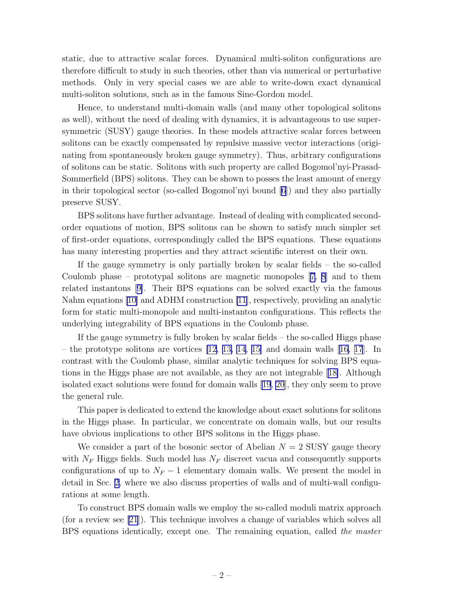static, due to attractive scalar forces. Dynamical multi-soliton configurations are therefore difficult to study in such theories, other than via numerical or perturbative methods. Only in very special cases we are able to write-down exact dynamical multi-soliton solutions, such as in the famous Sine-Gordon model.

Hence, to understand multi-domain walls (and many other topological solitons as well), without the need of dealing with dynamics, it is advantageous to use supersymmetric (SUSY) gauge theories. In these models attractive scalar forces between solitons can be exactly compensated by repulsive massive vector interactions (originating from spontaneously broken gauge symmetry). Thus, arbitrary configurations of solitons can be static. Solitons with such property are called Bogomol'nyi-Prasad-Sommerfield (BPS) solitons. They can be shown to posses the least amount of energy in their topological sector (so-called Bogomol'nyi bound [\[6\]](#page-44-0)) and they also partially preserve SUSY.

BPS solitons have further advantage. Instead of dealing with complicated secondorder equations of motion, BPS solitons can be shown to satisfy much simpler set of first-order equations, correspondingly called the BPS equations. These equations has many interesting properties and they attract scientific interest on their own.

If the gauge symmetry is only partially broken by scalar fields – the so-called Coulomb phase – prototypal solitons are magnetic monopoles[[7, 8](#page-44-0)] and to them related instantons[[9\]](#page-44-0). Their BPS equations can be solved exactly via the famous Nahm equations [\[10\]](#page-44-0) and ADHM construction [\[11](#page-44-0)], respectively, providing an analytic form for static multi-monopole and multi-instanton configurations. This reflects the underlying integrability of BPS equations in the Coulomb phase.

If the gauge symmetry is fully broken by scalar fields – the so-called Higgs phase – the prototype solitons are vortices [\[12, 13, 14](#page-45-0), [15\]](#page-45-0) and domain walls [\[16, 17](#page-45-0)]. In contrast with the Coulomb phase, similar analytic techniques for solving BPS equations in the Higgs phase are not available, as they are not integrable[[18\]](#page-45-0). Although isolated exact solutions were found for domain walls [\[19, 20](#page-45-0)], they only seem to prove the general rule.

This paper is dedicated to extend the knowledge about exact solutions for solitons in the Higgs phase. In particular, we concentrate on domain walls, but our results have obvious implications to other BPS solitons in the Higgs phase.

We consider a part of the bosonic sector of Abelian  $N = 2$  SUSY gauge theory with  $N_F$  Higgs fields. Such model has  $N_F$  discreet vacua and consequently supports configurations of up to  $N_F - 1$  elementary domain walls. We present the model in detail in Sec. [2,](#page-3-0) where we also discuss properties of walls and of multi-wall configurations at some length.

To construct BPS domain walls we employ the so-called moduli matrix approach (for a review see [\[21](#page-45-0)]). This technique involves a change of variables which solves all BPS equations identically, except one. The remaining equation, called the master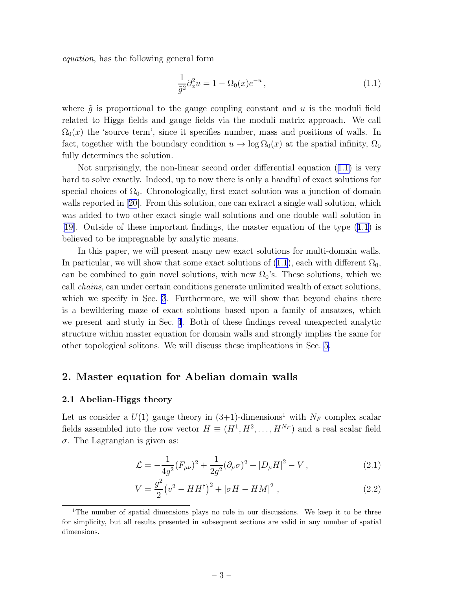<span id="page-3-0"></span>equation, has the following general form

$$
\frac{1}{\tilde{g}^2} \partial_x^2 u = 1 - \Omega_0(x) e^{-u}, \qquad (1.1)
$$

where  $\tilde{q}$  is proportional to the gauge coupling constant and u is the moduli field related to Higgs fields and gauge fields via the moduli matrix approach. We call  $\Omega_0(x)$  the 'source term', since it specifies number, mass and positions of walls. In fact, together with the boundary condition  $u \to \log \Omega_0(x)$  at the spatial infinity,  $\Omega_0$ fully determines the solution.

Not surprisingly, the non-linear second order differential equation (1.1) is very hard to solve exactly. Indeed, up to now there is only a handful of exact solutions for special choices of  $\Omega_0$ . Chronologically, first exact solution was a junction of domain wallsreported in [[20](#page-45-0)]. From this solution, one can extract a single wall solution, which was added to two other exact single wall solutions and one double wall solution in [[19](#page-45-0)]. Outside of these important findings, the master equation of the type (1.1) is believed to be impregnable by analytic means.

In this paper, we will present many new exact solutions for multi-domain walls. In particular, we will show that some exact solutions of (1.1), each with different  $\Omega_0$ , can be combined to gain novel solutions, with new  $\Omega_0$ 's. These solutions, which we call chains, can under certain conditions generate unlimited wealth of exact solutions, which we specify in Sec. [3](#page-13-0). Furthermore, we will show that beyond chains there is a bewildering maze of exact solutions based upon a family of ansatzes, which we present and study in Sec. [4](#page-25-0). Both of these findings reveal unexpected analytic structure within master equation for domain walls and strongly implies the same for other topological solitons. We will discuss these implications in Sec. [5](#page-42-0).

# 2. Master equation for Abelian domain walls

#### 2.1 Abelian-Higgs theory

Let us consider a  $U(1)$  gauge theory in  $(3+1)$ -dimensions<sup>1</sup> with  $N_F$  complex scalar fields assembled into the row vector  $H \equiv (H^1, H^2, \dots, H^{N_F})$  and a real scalar field σ. The Lagrangian is given as:

$$
\mathcal{L} = -\frac{1}{4g^2}(F_{\mu\nu})^2 + \frac{1}{2g^2}(\partial_\mu\sigma)^2 + |D_\mu H|^2 - V\,,\tag{2.1}
$$

$$
V = \frac{g^2}{2} (v^2 - HH^{\dagger})^2 + |\sigma H - HM|^2 , \qquad (2.2)
$$

<sup>1</sup>The number of spatial dimensions plays no role in our discussions. We keep it to be three for simplicity, but all results presented in subsequent sections are valid in any number of spatial dimensions.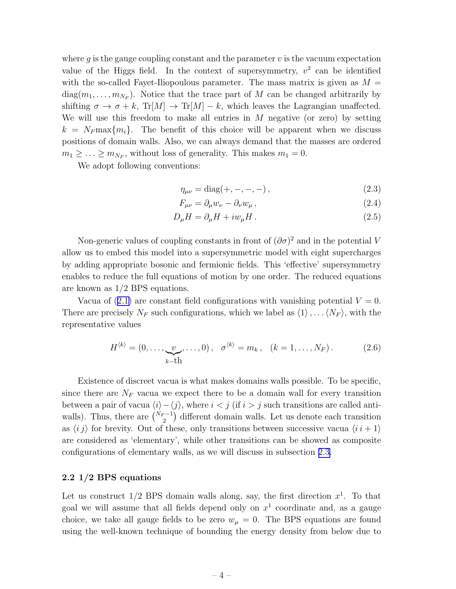<span id="page-4-0"></span>where  $q$  is the gauge coupling constant and the parameter  $v$  is the vacuum expectation value of the Higgs field. In the context of supersymmetry,  $v^2$  can be identified with the so-called Fayet-Iliopoulous parameter. The mass matrix is given as  $M =$  $diag(m_1, \ldots, m_{N_F})$ . Notice that the trace part of M can be changed arbitrarily by shifting  $\sigma \to \sigma + k$ , Tr[M]  $\to$  Tr[M] – k, which leaves the Lagrangian unaffected. We will use this freedom to make all entries in  $M$  negative (or zero) by setting  $k = N_F \max\{m_i\}.$  The benefit of this choice will be apparent when we discuss positions of domain walls. Also, we can always demand that the masses are ordered  $m_1 \geq \ldots \geq m_{N_F}$ , without loss of generality. This makes  $m_1 = 0$ .

We adopt following conventions:

$$
\eta_{\mu\nu} = \text{diag}(+,-,-,-), \qquad (2.3)
$$

$$
F_{\mu\nu} = \partial_{\mu} w_{\nu} - \partial_{\nu} w_{\mu}, \qquad (2.4)
$$

$$
D_{\mu}H = \partial_{\mu}H + iw_{\mu}H. \qquad (2.5)
$$

Non-generic values of coupling constants in front of  $(\partial \sigma)^2$  and in the potential V allow us to embed this model into a supersymmetric model with eight supercharges by adding appropriate bosonic and fermionic fields. This 'effective' supersymmetry enables to reduce the full equations of motion by one order. The reduced equations are known as 1/2 BPS equations.

Vacuaof  $(2.1)$  $(2.1)$  are constant field configurations with vanishing potential  $V = 0$ . There are precisely  $N_F$  such configurations, which we label as  $\langle 1 \rangle, \ldots \langle N_F \rangle$ , with the representative values

$$
H^{\langle k \rangle} = (0, \dots, \underbrace{v}_{k-\text{th}}, \dots, 0), \quad \sigma^{\langle k \rangle} = m_k, \quad (k = 1, \dots, N_F). \tag{2.6}
$$

Existence of discreet vacua is what makes domains walls possible. To be specific, since there are  $N_F$  vacua we expect there to be a domain wall for every transition between a pair of vacua  $\langle i \rangle - \langle j \rangle$ , where  $i < j$  (if  $i > j$  such transitions are called antiwalls). Thus, there are  $\binom{N_F-1}{2}$  different domain walls. Let us denote each transition as  $\langle i j \rangle$  for brevity. Out of these, only transitions between successive vacua  $\langle i i + 1 \rangle$ are considered as 'elementary', while other transitions can be showed as composite configurations of elementary walls, as we will discuss in subsection [2.3.](#page-5-0)

#### 2.2 1/2 BPS equations

Let us construct  $1/2$  BPS domain walls along, say, the first direction  $x^1$ . To that goal we will assume that all fields depend only on  $x<sup>1</sup>$  coordinate and, as a gauge choice, we take all gauge fields to be zero  $w_{\mu} = 0$ . The BPS equations are found using the well-known technique of bounding the energy density from below due to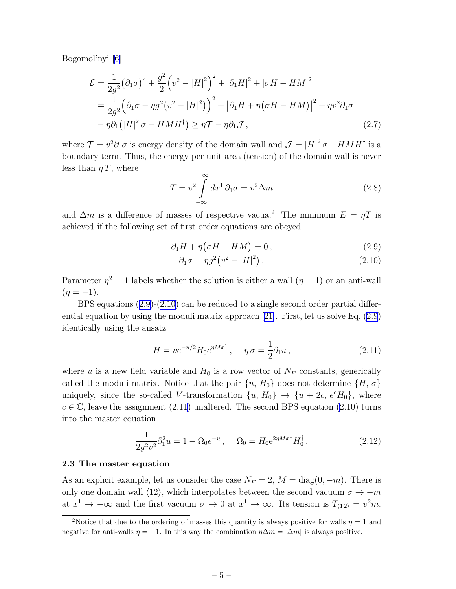<span id="page-5-0"></span>Bogomol'nyi [\[6\]](#page-44-0)

$$
\mathcal{E} = \frac{1}{2g^2} (\partial_1 \sigma)^2 + \frac{g^2}{2} \left( v^2 - |H|^2 \right)^2 + |\partial_1 H|^2 + |\sigma H - H M|^2
$$
  
= 
$$
\frac{1}{2g^2} \left( \partial_1 \sigma - \eta g^2 (v^2 - |H|^2) \right)^2 + |\partial_1 H + \eta (\sigma H - H M)|^2 + \eta v^2 \partial_1 \sigma
$$
  
- 
$$
\eta \partial_1 (|H|^2 \sigma - H M H^{\dagger}) \ge \eta \mathcal{T} - \eta \partial_1 \mathcal{J},
$$
 (2.7)

where  $\mathcal{T} = v^2 \partial_1 \sigma$  is energy density of the domain wall and  $\mathcal{J} = |H|^2 \sigma - H M H^{\dagger}$  is a boundary term. Thus, the energy per unit area (tension) of the domain wall is never less than  $\eta T$ , where

$$
T = v^2 \int_{-\infty}^{\infty} dx^1 \, \partial_1 \sigma = v^2 \Delta m \tag{2.8}
$$

and  $\Delta m$  is a difference of masses of respective vacua.<sup>2</sup> The minimum  $E = \eta T$  is achieved if the following set of first order equations are obeyed

$$
\partial_1 H + \eta (\sigma H - H M) = 0, \qquad (2.9)
$$

$$
\partial_1 \sigma = \eta g^2 \left( v^2 - |H|^2 \right). \tag{2.10}
$$

Parameter  $\eta^2 = 1$  labels whether the solution is either a wall  $(\eta = 1)$  or an anti-wall  $(\eta = -1).$ 

BPS equations (2.9)-(2.10) can be reduced to a single second order partial differential equation by using the moduli matrix approach[[21\]](#page-45-0). First, let us solve Eq. (2.9) identically using the ansatz

$$
H = v e^{-u/2} H_0 e^{\eta M x^1}, \quad \eta \sigma = \frac{1}{2} \partial_1 u \,, \tag{2.11}
$$

where u is a new field variable and  $H_0$  is a row vector of  $N_F$  constants, generically called the moduli matrix. Notice that the pair  $\{u, H_0\}$  does not determine  $\{H, \sigma\}$ uniquely, since the so-called V-transformation  $\{u, H_0\} \to \{u + 2c, e^c H_0\}$ , where  $c \in \mathbb{C}$ , leave the assignment (2.11) unaltered. The second BPS equation (2.10) turns into the master equation

$$
\frac{1}{2g^2v^2}\partial_1^2 u = 1 - \Omega_0 e^{-u}, \quad \Omega_0 = H_0 e^{2\eta M x^1} H_0^{\dagger}.
$$
 (2.12)

#### 2.3 The master equation

As an explicit example, let us consider the case  $N_F = 2$ ,  $M = \text{diag}(0, -m)$ . There is only one domain wall  $\langle 12 \rangle$ , which interpolates between the second vacuum  $\sigma \to -m$ at  $x^1 \to -\infty$  and the first vacuum  $\sigma \to 0$  at  $x^1 \to \infty$ . Its tension is  $T_{\langle 12 \rangle} = v^2 m$ .

<sup>&</sup>lt;sup>2</sup>Notice that due to the ordering of masses this quantity is always positive for walls  $\eta = 1$  and negative for anti-walls  $\eta = -1$ . In this way the combination  $\eta \Delta m = |\Delta m|$  is always positive.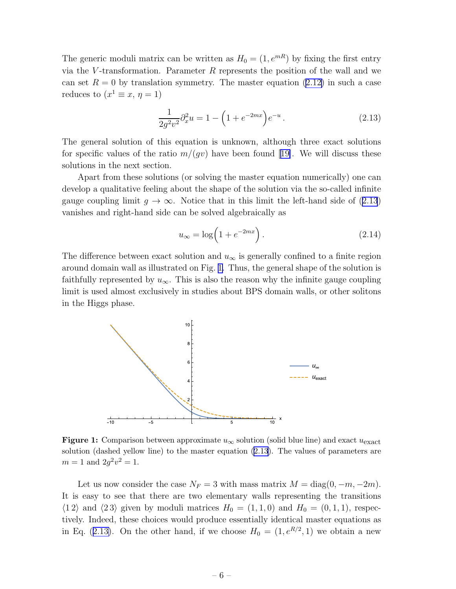<span id="page-6-0"></span>The generic moduli matrix can be written as  $H_0 = (1, e^{mR})$  by fixing the first entry via the V-transformation. Parameter R represents the position of the wall and we canset  $R = 0$  by translation symmetry. The master equation ([2.12\)](#page-5-0) in such a case reduces to  $(x^1 \equiv x, \eta = 1)$ 

$$
\frac{1}{2g^2v^2}\partial_x^2 u = 1 - \left(1 + e^{-2mx}\right)e^{-u}.
$$
\n(2.13)

The general solution of this equation is unknown, although three exact solutions forspecific values of the ratio  $m/(gv)$  have been found [[19\]](#page-45-0). We will discuss these solutions in the next section.

Apart from these solutions (or solving the master equation numerically) one can develop a qualitative feeling about the shape of the solution via the so-called infinite gauge coupling limit  $g \to \infty$ . Notice that in this limit the left-hand side of (2.13) vanishes and right-hand side can be solved algebraically as

$$
u_{\infty} = \log\left(1 + e^{-2mx}\right). \tag{2.14}
$$

The difference between exact solution and  $u_{\infty}$  is generally confined to a finite region around domain wall as illustrated on Fig. 1. Thus, the general shape of the solution is faithfully represented by  $u_{\infty}$ . This is also the reason why the infinite gauge coupling limit is used almost exclusively in studies about BPS domain walls, or other solitons in the Higgs phase.



**Figure 1:** Comparison between approximate  $u_{\infty}$  solution (solid blue line) and exact  $u_{\text{exact}}$ solution (dashed yellow line) to the master equation (2.13). The values of parameters are  $m = 1$  and  $2g^2v^2 = 1$ .

Let us now consider the case  $N_F = 3$  with mass matrix  $M = \text{diag}(0, -m, -2m)$ . It is easy to see that there are two elementary walls representing the transitions  $\langle 1\,2 \rangle$  and  $\langle 2\,3 \rangle$  given by moduli matrices  $H_0 = (1, 1, 0)$  and  $H_0 = (0, 1, 1)$ , respectively. Indeed, these choices would produce essentially identical master equations as in Eq. (2.13). On the other hand, if we choose  $H_0 = (1, e^{R/2}, 1)$  we obtain a new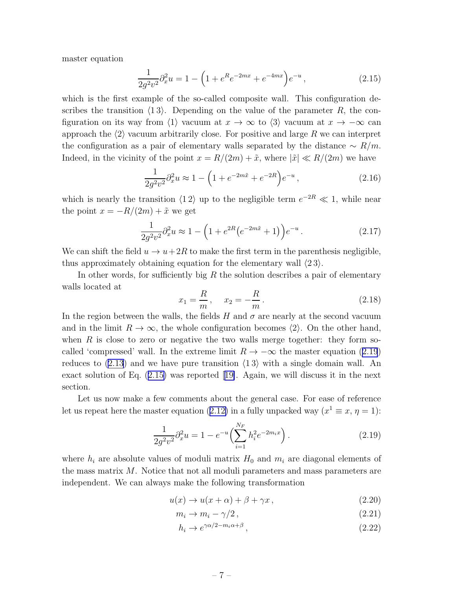<span id="page-7-0"></span>master equation

$$
\frac{1}{2g^2v^2}\partial_x^2 u = 1 - \left(1 + e^R e^{-2mx} + e^{-4mx}\right)e^{-u},\tag{2.15}
$$

which is the first example of the so-called composite wall. This configuration describes the transition  $\langle 13 \rangle$ . Depending on the value of the parameter R, the configuration on its way from  $\langle 1 \rangle$  vacuum at  $x \to \infty$  to  $\langle 3 \rangle$  vacuum at  $x \to -\infty$  can approach the  $\langle 2 \rangle$  vacuum arbitrarily close. For positive and large R we can interpret the configuration as a pair of elementary walls separated by the distance  $\sim R/m$ . Indeed, in the vicinity of the point  $x = R/(2m) + \tilde{x}$ , where  $|\tilde{x}| \ll R/(2m)$  we have

$$
\frac{1}{2g^2v^2}\partial_x^2 u \approx 1 - \left(1 + e^{-2m\tilde{x}} + e^{-2R}\right)e^{-u},\tag{2.16}
$$

which is nearly the transition  $\langle 12 \rangle$  up to the negligible term  $e^{-2R} \ll 1$ , while near the point  $x = -R/(2m) + \tilde{x}$  we get

$$
\frac{1}{2g^2v^2}\partial_x^2 u \approx 1 - \left(1 + e^{2R}(e^{-2m\tilde{x}} + 1)\right)e^{-u}.
$$
 (2.17)

We can shift the field  $u \to u+2R$  to make the first term in the parenthesis negligible, thus approximately obtaining equation for the elementary wall  $\langle 23 \rangle$ .

In other words, for sufficiently big  $R$  the solution describes a pair of elementary walls located at

$$
x_1 = \frac{R}{m}, \quad x_2 = -\frac{R}{m}.
$$
 (2.18)

In the region between the walls, the fields H and  $\sigma$  are nearly at the second vacuum and in the limit  $R \to \infty$ , the whole configuration becomes  $\langle 2 \rangle$ . On the other hand, when  $R$  is close to zero or negative the two walls merge together: they form socalled 'compressed' wall. In the extreme limit  $R \to -\infty$  the master equation (2.19) reduces to [\(2.13](#page-6-0)) and we have pure transition  $\langle 13 \rangle$  with a single domain wall. An exact solution of Eq. (2.15) was reported[[19\]](#page-45-0). Again, we will discuss it in the next section.

Let us now make a few comments about the general case. For ease of reference letus repeat here the master equation ([2.12\)](#page-5-0) in a fully unpacked way  $(x^1 \equiv x, \eta = 1)$ :

$$
\frac{1}{2g^2v^2}\partial_x^2 u = 1 - e^{-u}\left(\sum_{i=1}^{N_F} h_i^2 e^{-2m_ix}\right). \tag{2.19}
$$

where  $h_i$  are absolute values of moduli matrix  $H_0$  and  $m_i$  are diagonal elements of the mass matrix M. Notice that not all moduli parameters and mass parameters are independent. We can always make the following transformation

$$
u(x) \to u(x+\alpha) + \beta + \gamma x, \qquad (2.20)
$$

$$
m_i \to m_i - \gamma/2, \qquad (2.21)
$$

$$
h_i \to e^{\gamma \alpha/2 - m_i \alpha + \beta} \,, \tag{2.22}
$$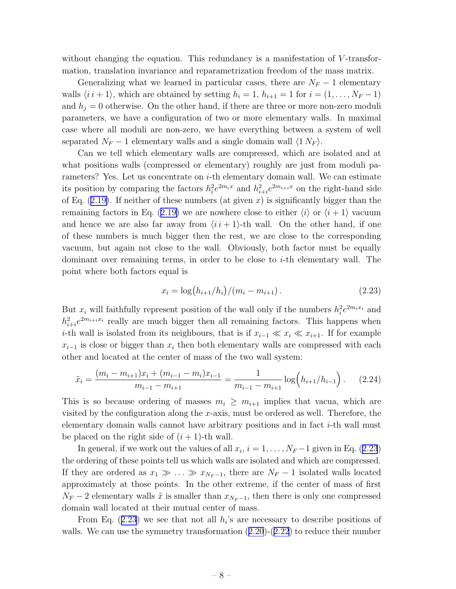<span id="page-8-0"></span>without changing the equation. This redundancy is a manifestation of V-transformation, translation invariance and reparametrization freedom of the mass matrix.

Generalizing what we learned in particular cases, there are  $N_F - 1$  elementary walls  $\langle i \, i + 1 \rangle$ , which are obtained by setting  $h_i = 1$ ,  $h_{i+1} = 1$  for  $i = (1, \ldots, N_F - 1)$ and  $h_i = 0$  otherwise. On the other hand, if there are three or more non-zero moduli parameters, we have a configuration of two or more elementary walls. In maximal case where all moduli are non-zero, we have everything between a system of well separated  $N_F - 1$  elementary walls and a single domain wall  $\langle 1 N_F \rangle$ .

Can we tell which elementary walls are compressed, which are isolated and at what positions walls (compressed or elementary) roughly are just from moduli parameters? Yes. Let us concentrate on  $i$ -th elementary domain wall. We can estimate its position by comparing the factors  $h_i^2 e^{2m_i x}$  and  $h_{i+i}^2 e^{2m_{i+i} x}$  on the right-hand side ofEq.  $(2.19)$  $(2.19)$ . If neither of these numbers  $(at\text{ given }x)$  is significantly bigger than the remainingfactors in Eq. ([2.19\)](#page-7-0) we are nowhere close to either  $\langle i \rangle$  or  $\langle i + 1 \rangle$  vacuum and hence we are also far away from  $\langle i\,i+1\rangle$ -th wall. On the other hand, if one of these numbers is much bigger then the rest, we are close to the corresponding vacuum, but again not close to the wall. Obviously, both factor must be equally dominant over remaining terms, in order to be close to  $i$ -th elementary wall. The point where both factors equal is

$$
x_i = \log(h_{i+1}/h_i)/(m_i - m_{i+1}).
$$
\n(2.23)

But  $x_i$  will faithfully represent position of the wall only if the numbers  $h_i^2 e^{2m_i x_i}$  and  $h_{i+i}^2 e^{2m_{i+i}x_i}$  really are much bigger then all remaining factors. This happens when *i*-th wall is isolated from its neighbours, that is if  $x_{i-1} \ll x_i \ll x_{i+1}$ . If for example  $x_{i-1}$  is close or bigger than  $x_i$  then both elementary walls are compressed with each other and located at the center of mass of the two wall system:

$$
\tilde{x}_i = \frac{(m_i - m_{i+1})x_i + (m_{i-1} - m_i)x_{i-1}}{m_{i-1} - m_{i+1}} = \frac{1}{m_{i-1} - m_{i+1}} \log \left( h_{i+1}/h_{i-1} \right). \tag{2.24}
$$

This is so because ordering of masses  $m_i \geq m_{i+1}$  implies that vacua, which are visited by the configuration along the x-axis, must be ordered as well. Therefore, the elementary domain walls cannot have arbitrary positions and in fact i-th wall must be placed on the right side of  $(i + 1)$ -th wall.

In general, if we work out the values of all  $x_i$ ,  $i = 1, ..., N_F-1$  given in Eq. (2.23) the ordering of these points tell us which walls are isolated and which are compressed. If they are ordered as  $x_1 \gg \ldots \gg x_{N_F-1}$ , there are  $N_F-1$  isolated walls located approximately at those points. In the other extreme, if the center of mass of first  $N_F - 2$  elementary walls  $\tilde{x}$  is smaller than  $x_{N_F-1}$ , then there is only one compressed domain wall located at their mutual center of mass.

From Eq.  $(2.23)$  we see that not all  $h_i$ 's are necessary to describe positions of walls.We can use the symmetry transformation  $(2.20)-(2.22)$  $(2.20)-(2.22)$  $(2.20)-(2.22)$  $(2.20)-(2.22)$  $(2.20)-(2.22)$  to reduce their number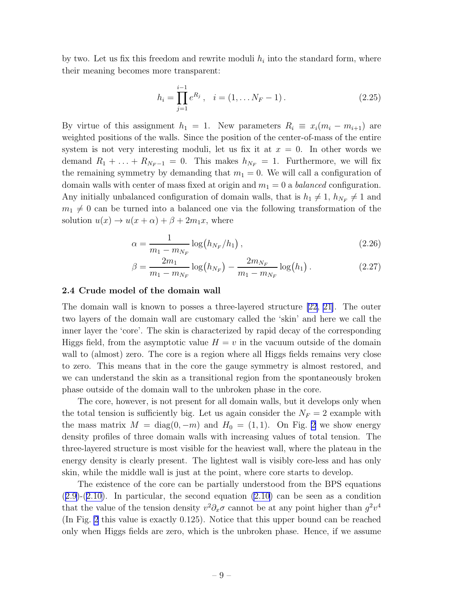<span id="page-9-0"></span>by two. Let us fix this freedom and rewrite moduli  $h_i$  into the standard form, where their meaning becomes more transparent:

$$
h_i = \prod_{j=1}^{i-1} e^{R_j}, \quad i = (1, \dots N_F - 1).
$$
 (2.25)

By virtue of this assignment  $h_1 = 1$ . New parameters  $R_i \equiv x_i(m_i - m_{i+1})$  are weighted positions of the walls. Since the position of the center-of-mass of the entire system is not very interesting moduli, let us fix it at  $x = 0$ . In other words we demand  $R_1 + \ldots + R_{N_F-1} = 0$ . This makes  $h_{N_F} = 1$ . Furthermore, we will fix the remaining symmetry by demanding that  $m_1 = 0$ . We will call a configuration of domain walls with center of mass fixed at origin and  $m_1 = 0$  a *balanced* configuration. Any initially unbalanced configuration of domain walls, that is  $h_1 \neq 1$ ,  $h_{N_F} \neq 1$  and  $m_1 \neq 0$  can be turned into a balanced one via the following transformation of the solution  $u(x) \to u(x+\alpha) + \beta + 2m_1x$ , where

$$
\alpha = \frac{1}{m_1 - m_{N_F}} \log(h_{N_F}/h_1), \qquad (2.26)
$$

$$
\beta = \frac{2m_1}{m_1 - m_{N_F}} \log(h_{N_F}) - \frac{2m_{N_F}}{m_1 - m_{N_F}} \log(h_1).
$$
 (2.27)

#### 2.4 Crude model of the domain wall

The domain wall is known to posses a three-layered structure [\[22](#page-45-0), [21\]](#page-45-0). The outer two layers of the domain wall are customary called the 'skin' and here we call the inner layer the 'core'. The skin is characterized by rapid decay of the corresponding Higgs field, from the asymptotic value  $H = v$  in the vacuum outside of the domain wall to (almost) zero. The core is a region where all Higgs fields remains very close to zero. This means that in the core the gauge symmetry is almost restored, and we can understand the skin as a transitional region from the spontaneously broken phase outside of the domain wall to the unbroken phase in the core.

The core, however, is not present for all domain walls, but it develops only when the total tension is sufficiently big. Let us again consider the  $N_F = 2$  example with the mass matrix  $M = \text{diag}(0, -m)$  and  $H_0 = (1, 1)$ . On Fig. [2](#page-10-0) we show energy density profiles of three domain walls with increasing values of total tension. The three-layered structure is most visible for the heaviest wall, where the plateau in the energy density is clearly present. The lightest wall is visibly core-less and has only skin, while the middle wall is just at the point, where core starts to develop.

The existence of the core can be partially understood from the BPS equations  $(2.9)-(2.10)$  $(2.9)-(2.10)$  $(2.9)-(2.10)$  $(2.9)-(2.10)$ . In particular, the second equation  $(2.10)$  can be seen as a condition that the value of the tension density  $v^2 \partial_x \sigma$  cannot be at any point higher than  $g^2 v^4$ (In Fig. [2](#page-10-0) this value is exactly 0.125). Notice that this upper bound can be reached only when Higgs fields are zero, which is the unbroken phase. Hence, if we assume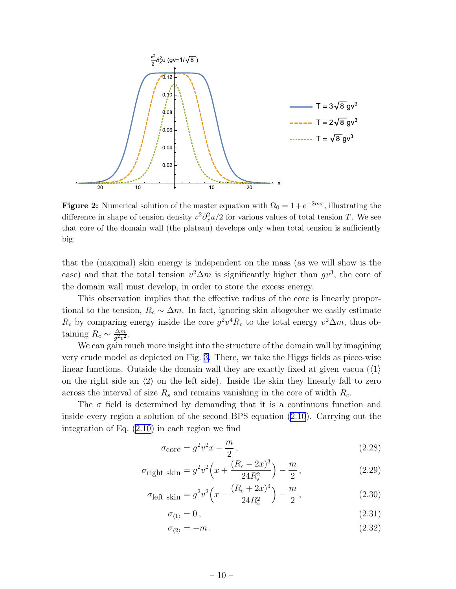<span id="page-10-0"></span>

**Figure 2:** Numerical solution of the master equation with  $\Omega_0 = 1 + e^{-2mx}$ , illustrating the difference in shape of tension density  $v^2 \partial_x^2 u/2$  for various values of total tension T. We see that core of the domain wall (the plateau) develops only when total tension is sufficiently big.

that the (maximal) skin energy is independent on the mass (as we will show is the case) and that the total tension  $v^2 \Delta m$  is significantly higher than  $gv^3$ , the core of the domain wall must develop, in order to store the excess energy.

This observation implies that the effective radius of the core is linearly proportional to the tension,  $R_c \sim \Delta m$ . In fact, ignoring skin altogether we easily estimate  $R_c$  by comparing energy inside the core  $g^2v^4R_c$  to the total energy  $v^2\Delta m$ , thus obtaining  $R_c \sim \frac{\Delta m}{g^2 v^2}$  $\frac{\Delta m}{g^2 v^2}$ .

We can gain much more insight into the structure of the domain wall by imagining very crude model as depicted on Fig. [3.](#page-11-0) There, we take the Higgs fields as piece-wise linear functions. Outside the domain wall they are exactly fixed at given vacua  $(\langle 1 \rangle$ on the right side an  $\langle 2 \rangle$  on the left side). Inside the skin they linearly fall to zero across the interval of size  $R_s$  and remains vanishing in the core of width  $R_c$ .

The  $\sigma$  field is determined by demanding that it is a continuous function and inside every region a solution of the second BPS equation [\(2.10](#page-5-0)). Carrying out the integration of Eq. [\(2.10\)](#page-5-0) in each region we find

$$
\sigma_{\text{core}} = g^2 v^2 x - \frac{m}{2},\tag{2.28}
$$

$$
\sigma_{\text{right skin}} = g^2 v^2 \left( x + \frac{(R_c - 2x)^3}{24R_s^2} \right) - \frac{m}{2},\tag{2.29}
$$

$$
\sigma_{\text{left skin}} = g^2 v^2 \left( x - \frac{(R_c + 2x)^3}{24R_s^2} \right) - \frac{m}{2},\tag{2.30}
$$

$$
\sigma_{\langle 1 \rangle} = 0, \tag{2.31}
$$

$$
\sigma_{\langle 2 \rangle} = -m \,. \tag{2.32}
$$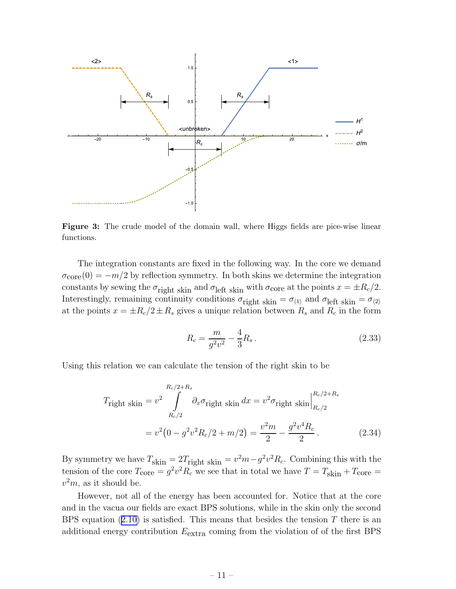<span id="page-11-0"></span>

Figure 3: The crude model of the domain wall, where Higgs fields are pice-wise linear functions.

The integration constants are fixed in the following way. In the core we demand  $\sigma_{\rm core}(0) = -m/2$  by reflection symmetry. In both skins we determine the integration constants by sewing the  $\sigma_{\text{right}}$  skin and  $\sigma_{\text{left}}$  skin with  $\sigma_{\text{core}}$  at the points  $x = \pm R_c/2$ . Interestingly, remaining continuity conditions  $\sigma_{\text{right skin}} = \sigma_{\langle 1 \rangle}$  and  $\sigma_{\text{left skin}} = \sigma_{\langle 2 \rangle}$ at the points  $x = \pm R_c/2 \pm R_s$  gives a unique relation between  $R_s$  and  $R_c$  in the form

$$
R_c = \frac{m}{g^2 v^2} - \frac{4}{3} R_s \,. \tag{2.33}
$$

Using this relation we can calculate the tension of the right skin to be

$$
T_{\text{right skin}} = v^2 \int_{R_c/2}^{R_c/2 + R_s} \partial_x \sigma_{\text{right skin}} dx = v^2 \sigma_{\text{right skin}} \Big|_{R_c/2}^{R_c/2 + R_s}
$$

$$
= v^2 \left( 0 - g^2 v^2 R_c / 2 + m / 2 \right) = \frac{v^2 m}{2} - \frac{g^2 v^4 R_c}{2}. \tag{2.34}
$$

By symmetry we have  $T_{\text{skin}} = 2T_{\text{right skin}} = v^2 m - g^2 v^2 R_c$ . Combining this with the tension of the core  $T_{\text{core}} = g^2 v^2 R_c$  we see that in total we have  $T = T_{\text{skin}} + T_{\text{core}} =$  $v^2m$ , as it should be.

However, not all of the energy has been accounted for. Notice that at the core and in the vacua our fields are exact BPS solutions, while in the skin only the second BPSequation  $(2.10)$  $(2.10)$  is satisfied. This means that besides the tension T there is an additional energy contribution  $E_{\text{extra}}$  coming from the violation of of the first BPS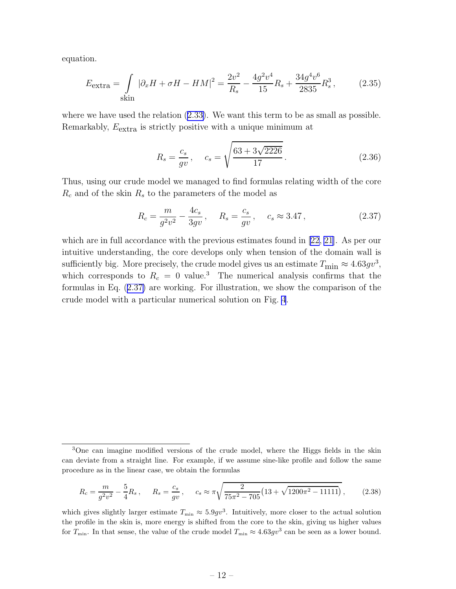equation.

$$
E_{\text{extra}} = \int \limits_{\text{skin}} |\partial_x H + \sigma H - H M|^2 = \frac{2v^2}{R_s} - \frac{4g^2v^4}{15}R_s + \frac{34g^4v^6}{2835}R_s^3, \tag{2.35}
$$

where we have used the relation([2.33\)](#page-11-0). We want this term to be as small as possible. Remarkably,  $E_{\text{extra}}$  is strictly positive with a unique minimum at

$$
R_s = \frac{c_s}{gv}, \quad c_s = \sqrt{\frac{63 + 3\sqrt{2226}}{17}}.
$$
\n(2.36)

Thus, using our crude model we managed to find formulas relating width of the core  $R_c$  and of the skin  $R_s$  to the parameters of the model as

$$
R_c = \frac{m}{g^2 v^2} - \frac{4c_s}{3gv}, \quad R_s = \frac{c_s}{gv}, \quad c_s \approx 3.47, \tag{2.37}
$$

which are in full accordance with the previous estimates found in [\[22](#page-45-0), [21](#page-45-0)]. As per our intuitive understanding, the core develops only when tension of the domain wall is sufficiently big. More precisely, the crude model gives us an estimate  $T_{\text{min}} \approx 4.63gv^3$ , which corresponds to  $R_c = 0$  value.<sup>3</sup> The numerical analysis confirms that the formulas in Eq. (2.37) are working. For illustration, we show the comparison of the crude model with a particular numerical solution on Fig. [4](#page-13-0).

$$
R_c = \frac{m}{g^2 v^2} - \frac{5}{4} R_s \,, \qquad R_s = \frac{c_s}{gv} \,, \qquad c_s \approx \pi \sqrt{\frac{2}{75\pi^2 - 705} \left( 13 + \sqrt{1200\pi^2 - 11111} \right)} \,, \tag{2.38}
$$

which gives slightly larger estimate  $T_{\min} \approx 5.9gv^3$ . Intuitively, more closer to the actual solution the profile in the skin is, more energy is shifted from the core to the skin, giving us higher values for  $T_{\min}$ . In that sense, the value of the crude model  $T_{\min} \approx 4.63gv^3$  can be seen as a lower bound.

<sup>3</sup>One can imagine modified versions of the crude model, where the Higgs fields in the skin can deviate from a straight line. For example, if we assume sine-like profile and follow the same procedure as in the linear case, we obtain the formulas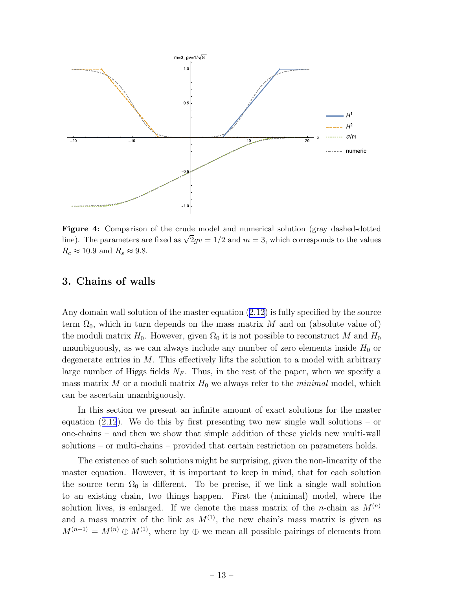<span id="page-13-0"></span>

Figure 4: Comparison of the crude model and numerical solution (gray dashed-dotted line). The parameters are fixed as  $\sqrt{2}gv = 1/2$  and  $m = 3$ , which corresponds to the values  $R_c \approx 10.9$  and  $R_s \approx 9.8$ .

# 3. Chains of walls

Any domain wall solution of the master equation([2.12\)](#page-5-0) is fully specified by the source term  $\Omega_0$ , which in turn depends on the mass matrix M and on (absolute value of) the moduli matrix  $H_0$ . However, given  $\Omega_0$  it is not possible to reconstruct M and  $H_0$ unambiguously, as we can always include any number of zero elements inside  $H_0$  or degenerate entries in  $M$ . This effectively lifts the solution to a model with arbitrary large number of Higgs fields  $N_F$ . Thus, in the rest of the paper, when we specify a mass matrix M or a moduli matrix  $H_0$  we always refer to the *minimal* model, which can be ascertain unambiguously.

In this section we present an infinite amount of exact solutions for the master equation $(2.12)$  $(2.12)$  $(2.12)$ . We do this by first presenting two new single wall solutions – or one-chains – and then we show that simple addition of these yields new multi-wall solutions – or multi-chains – provided that certain restriction on parameters holds.

The existence of such solutions might be surprising, given the non-linearity of the master equation. However, it is important to keep in mind, that for each solution the source term  $\Omega_0$  is different. To be precise, if we link a single wall solution to an existing chain, two things happen. First the (minimal) model, where the solution lives, is enlarged. If we denote the mass matrix of the *n*-chain as  $M^{(n)}$ and a mass matrix of the link as  $M^{(1)}$ , the new chain's mass matrix is given as  $M^{(n+1)} = M^{(n)} \oplus M^{(1)}$ , where by  $\oplus$  we mean all possible pairings of elements from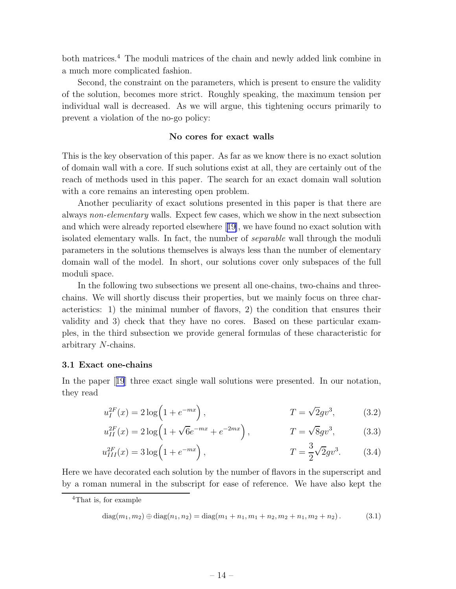<span id="page-14-0"></span>both matrices.<sup>4</sup> The moduli matrices of the chain and newly added link combine in a much more complicated fashion.

Second, the constraint on the parameters, which is present to ensure the validity of the solution, becomes more strict. Roughly speaking, the maximum tension per individual wall is decreased. As we will argue, this tightening occurs primarily to prevent a violation of the no-go policy:

# No cores for exact walls

This is the key observation of this paper. As far as we know there is no exact solution of domain wall with a core. If such solutions exist at all, they are certainly out of the reach of methods used in this paper. The search for an exact domain wall solution with a core remains an interesting open problem.

Another peculiarity of exact solutions presented in this paper is that there are always non-elementary walls. Expect few cases, which we show in the next subsection and which were already reported elsewhere[[19\]](#page-45-0), we have found no exact solution with isolated elementary walls. In fact, the number of separable wall through the moduli parameters in the solutions themselves is always less than the number of elementary domain wall of the model. In short, our solutions cover only subspaces of the full moduli space.

In the following two subsections we present all one-chains, two-chains and threechains. We will shortly discuss their properties, but we mainly focus on three characteristics: 1) the minimal number of flavors, 2) the condition that ensures their validity and 3) check that they have no cores. Based on these particular examples, in the third subsection we provide general formulas of these characteristic for arbitrary N-chains.

#### 3.1 Exact one-chains

In the paper[[19](#page-45-0)] three exact single wall solutions were presented. In our notation, they read

$$
u_I^{2F}(x) = 2\log(1 + e^{-mx}), \qquad T = \sqrt{2}gv^3, \qquad (3.2)
$$

$$
u_{II}^{2F}(x) = 2\log\left(1 + \sqrt{6}e^{-mx} + e^{-2mx}\right), \qquad T = \sqrt{8}gv^3, \qquad (3.3)
$$

$$
u_{III}^{2F}(x) = 3\log\left(1 + e^{-mx}\right), \qquad T = \frac{3}{2}\sqrt{2}gv^3. \qquad (3.4)
$$

Here we have decorated each solution by the number of flavors in the superscript and by a roman numeral in the subscript for ease of reference. We have also kept the

diag
$$
(m_1, m_2)
$$
  $\oplus$  diag $(n_1, n_2)$  = diag $(m_1 + n_1, m_1 + n_2, m_2 + n_1, m_2 + n_2)$ . (3.1)

<sup>4</sup>That is, for example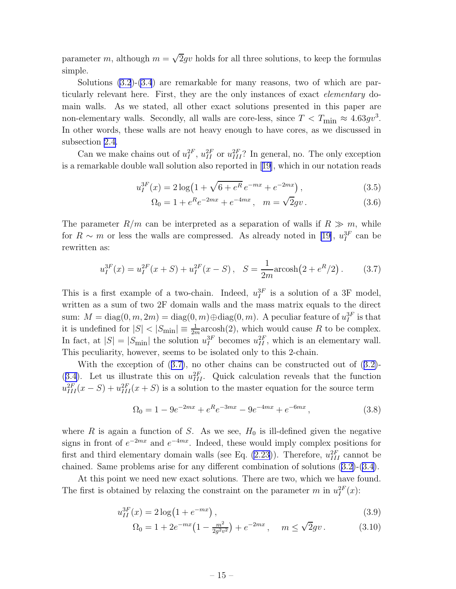<span id="page-15-0"></span>parameter m, although  $m = \sqrt{2}gv$  holds for all three solutions, to keep the formulas simple.

Solutions [\(3.2](#page-14-0))-[\(3.4](#page-14-0)) are remarkable for many reasons, two of which are particularly relevant here. First, they are the only instances of exact elementary domain walls. As we stated, all other exact solutions presented in this paper are non-elementary walls. Secondly, all walls are core-less, since  $T < T_{\text{min}} \approx 4.63gv^3$ . In other words, these walls are not heavy enough to have cores, as we discussed in subsection [2.4](#page-9-0).

Can we make chains out of  $u_I^{2F}$ ,  $u_{II}^{2F}$  or  $u_{III}^{2F}$ ? In general, no. The only exception is a remarkable double wall solution also reported in[[19\]](#page-45-0), which in our notation reads

$$
u_I^{3F}(x) = 2\log\left(1 + \sqrt{6 + e^R} \, e^{-mx} + e^{-2mx}\right),\tag{3.5}
$$

$$
\Omega_0 = 1 + e^R e^{-2mx} + e^{-4mx}, \quad m = \sqrt{2}gv. \tag{3.6}
$$

The parameter  $R/m$  can be interpreted as a separation of walls if  $R \gg m$ , while for  $R \sim m$  or less the walls are compressed. As already noted in [\[19\]](#page-45-0),  $u_I^{3F}$  can be rewritten as:

$$
u_I^{3F}(x) = u_I^{2F}(x+S) + u_I^{2F}(x-S), \quad S = \frac{1}{2m} \operatorname{arcosh}(2 + e^R/2). \tag{3.7}
$$

This is a first example of a two-chain. Indeed,  $u_I^{3F}$  is a solution of a 3F model, written as a sum of two 2F domain walls and the mass matrix equals to the direct sum:  $M = \text{diag}(0, m, 2m) = \text{diag}(0, m) \oplus \text{diag}(0, m)$ . A peculiar feature of  $u_I^{3F}$  is that it is undefined for  $|S| < |S_{\text{min}}| \equiv \frac{1}{2m} \text{arcosh}(2)$ , which would cause R to be complex. In fact, at  $|S| = |S_{\text{min}}|$  the solution  $u_I^{3F}$  becomes  $u_{II}^{2F}$ , which is an elementary wall. This peculiarity, however, seems to be isolated only to this 2-chain.

Withthe exception of  $(3.7)$ , no other chains can be constructed out of  $(3.2)$  $(3.2)$ -([3.4\)](#page-14-0). Let us illustrate this on  $u_{III}^{2F}$ . Quick calculation reveals that the function  $u_{III}^{2F}(x-S) + u_{III}^{2F}(x+S)$  is a solution to the master equation for the source term

$$
\Omega_0 = 1 - 9e^{-2mx} + e^R e^{-3mx} - 9e^{-4mx} + e^{-6mx}, \qquad (3.8)
$$

where R is again a function of S. As we see,  $H_0$  is ill-defined given the negative signs in front of  $e^{-2mx}$  and  $e^{-4mx}$ . Indeed, these would imply complex positions for first and third elementary domain walls (see Eq.  $(2.23)$ ). Therefore,  $u_{III}^{2F}$  cannot be chained. Same problems arise for any different combination of solutions([3.2\)](#page-14-0)-([3.4\)](#page-14-0).

At this point we need new exact solutions. There are two, which we have found. The first is obtained by relaxing the constraint on the parameter m in  $u_I^{2F}(x)$ :

$$
u_{II}^{3F}(x) = 2\log(1 + e^{-mx}),\tag{3.9}
$$

$$
\Omega_0 = 1 + 2e^{-mx} \left( 1 - \frac{m^2}{2g^2 v^2} \right) + e^{-2mx}, \quad m \le \sqrt{2}gv. \tag{3.10}
$$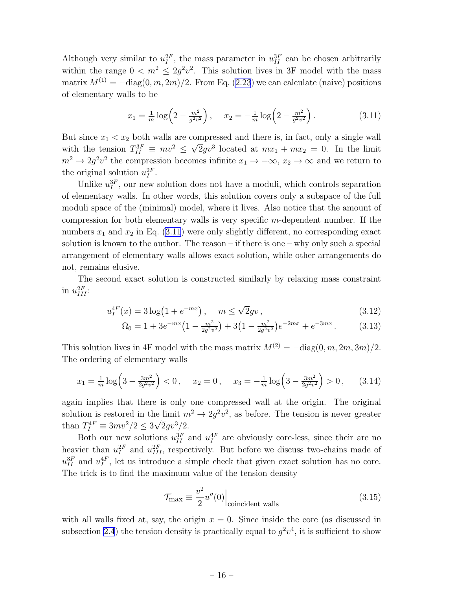<span id="page-16-0"></span>Although very similar to  $u_I^{2F}$ , the mass parameter in  $u_{II}^{3F}$  can be chosen arbitrarily within the range  $0 < m^2 \leq 2g^2v^2$ . This solution lives in 3F model with the mass matrix  $M^{(1)} = -\text{diag}(0, m, 2m)/2$ . From Eq. [\(2.23](#page-8-0)) we can calculate (naive) positions of elementary walls to be

$$
x_1 = \frac{1}{m} \log \left( 2 - \frac{m^2}{g^2 v^2} \right), \quad x_2 = -\frac{1}{m} \log \left( 2 - \frac{m^2}{g^2 v^2} \right). \tag{3.11}
$$

But since  $x_1 < x_2$  both walls are compressed and there is, in fact, only a single wall with the tension  $T_{II}^{3F} \equiv mv^2 \leq \sqrt{2}gv^3$  located at  $mx_1 + mx_2 = 0$ . In the limit  $m^2 \to 2g^2v^2$  the compression becomes infinite  $x_1 \to -\infty$ ,  $x_2 \to \infty$  and we return to the original solution  $u_I^{2F}$ .

Unlike  $u_I^{3F}$ , our new solution does not have a moduli, which controls separation of elementary walls. In other words, this solution covers only a subspace of the full moduli space of the (minimal) model, where it lives. Also notice that the amount of compression for both elementary walls is very specific m-dependent number. If the numbers  $x_1$  and  $x_2$  in Eq. (3.11) were only slightly different, no corresponding exact solution is known to the author. The reason – if there is one – why only such a special arrangement of elementary walls allows exact solution, while other arrangements do not, remains elusive.

The second exact solution is constructed similarly by relaxing mass constraint in  $u_{III}^{2F}$ :

$$
u_I^{4F}(x) = 3\log(1 + e^{-mx}), \quad m \le \sqrt{2}gv,
$$
\n(3.12)

$$
\Omega_0 = 1 + 3e^{-mx} \left( 1 - \frac{m^2}{2g^2 v^2} \right) + 3 \left( 1 - \frac{m^2}{2g^2 v^2} \right) e^{-2mx} + e^{-3mx} \,. \tag{3.13}
$$

This solution lives in 4F model with the mass matrix  $M^{(2)} = -\text{diag}(0, m, 2m, 3m)/2$ . The ordering of elementary walls

$$
x_1 = \frac{1}{m} \log \left( 3 - \frac{3m^2}{2g^2 v^2} \right) < 0, \quad x_2 = 0, \quad x_3 = -\frac{1}{m} \log \left( 3 - \frac{3m^2}{2g^2 v^2} \right) > 0, \quad (3.14)
$$

again implies that there is only one compressed wall at the origin. The original solution is restored in the limit  $m^2 \to 2g^2v^2$ , as before. The tension is never greater than  $T_I^{4F} \equiv 3mv^2/2 \leq 3\sqrt{2}gv^3/2$ .

Both our new solutions  $u_{II}^{3F}$  and  $u_{I}^{4F}$  are obviously core-less, since their are no heavier than  $u_I^{2F}$  and  $u_{III}^{2F}$ , respectively. But before we discuss two-chains made of  $u_{II}^{3F}$  and  $u_{I}^{4F}$ , let us introduce a simple check that given exact solution has no core. The trick is to find the maximum value of the tension density

$$
\mathcal{T}_{\text{max}} \equiv \frac{v^2}{2} u''(0) \Big|_{\text{coincident walls}} \tag{3.15}
$$

with all walls fixed at, say, the origin  $x = 0$ . Since inside the core (as discussed in subsection [2.4](#page-9-0)) the tension density is practically equal to  $g^2v^4$ , it is sufficient to show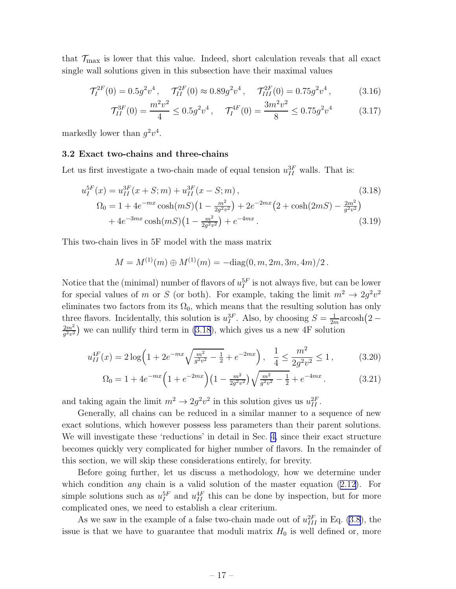<span id="page-17-0"></span>that  $\mathcal{T}_{\text{max}}$  is lower that this value. Indeed, short calculation reveals that all exact single wall solutions given in this subsection have their maximal values

$$
\mathcal{T}_I^{2F}(0) = 0.5g^2v^4, \quad \mathcal{T}_{II}^{2F}(0) \approx 0.89g^2v^4, \quad \mathcal{T}_{III}^{2F}(0) = 0.75g^2v^4, \tag{3.16}
$$

$$
\mathcal{T}_{II}^{3F}(0) = \frac{m^2 v^2}{4} \le 0.5g^2 v^4 \,, \quad \mathcal{T}_I^{4F}(0) = \frac{3m^2 v^2}{8} \le 0.75g^2 v^4 \tag{3.17}
$$

markedly lower than  $g^2v^4$ .

#### 3.2 Exact two-chains and three-chains

Let us first investigate a two-chain made of equal tension  $u_{II}^{3F}$  walls. That is:

$$
u_I^{5F}(x) = u_{II}^{3F}(x+S;m) + u_{II}^{3F}(x-S;m),
$$
\n(3.18)  
\n
$$
\Omega_0 = 1 + 4e^{-mx}\cosh(mS)\left(1 - \frac{m^2}{2g^2v^2}\right) + 2e^{-2mx}\left(2 + \cosh(2mS) - \frac{2m^2}{g^2v^2}\right)
$$
\n
$$
+ 4e^{-3mx}\cosh(mS)\left(1 - \frac{m^2}{2g^2v^2}\right) + e^{-4mx}.
$$
\n(3.19)

This two-chain lives in 5F model with the mass matrix

$$
M = M^{(1)}(m) \oplus M^{(1)}(m) = -\text{diag}(0, m, 2m, 3m, 4m)/2.
$$

Notice that the (minimal) number of flavors of  $u_I^{5F}$  is not always five, but can be lower for special values of m or S (or both). For example, taking the limit  $m^2 \to 2g^2v^2$ eliminates two factors from its  $\Omega_0$ , which means that the resulting solution has only three flavors. Incidentally, this solution is  $u_I^{3F}$ . Also, by choosing  $S = \frac{1}{2n}$  $\frac{1}{2m}$ arcosh $(2 2m^2$  $\frac{2m^2}{g^2v^2}$ ) we can nullify third term in (3.18), which gives us a new 4F solution

$$
u_{II}^{4F}(x) = 2\log\left(1 + 2e^{-mx}\sqrt{\frac{m^2}{g^2v^2} - \frac{1}{2}} + e^{-2mx}\right), \quad \frac{1}{4} \le \frac{m^2}{2g^2v^2} \le 1,
$$
 (3.20)

$$
\Omega_0 = 1 + 4e^{-mx} \left( 1 + e^{-2mx} \right) \left( 1 - \frac{m^2}{2g^2 v^2} \right) \sqrt{\frac{m^2}{g^2 v^2} - \frac{1}{2}} + e^{-4mx} \,. \tag{3.21}
$$

and taking again the limit  $m^2 \to 2g^2v^2$  in this solution gives us  $u_{II}^{2F}$ .

Generally, all chains can be reduced in a similar manner to a sequence of new exact solutions, which however possess less parameters than their parent solutions. We will investigate these 'reductions' in detail in Sec. [4,](#page-25-0) since their exact structure becomes quickly very complicated for higher number of flavors. In the remainder of this section, we will skip these considerations entirely, for brevity.

Before going further, let us discuss a methodology, how we determine under whichcondition *any* chain is a valid solution of the master equation  $(2.12)$  $(2.12)$ . For simple solutions such as  $u_I^{5F}$  and  $u_{II}^{4F}$  this can be done by inspection, but for more complicated ones, we need to establish a clear criterium.

As we saw in the example of a false two-chain made out of  $u_{III}^{2F}$  in Eq. [\(3.8](#page-15-0)), the issue is that we have to guarantee that moduli matrix  $H_0$  is well defined or, more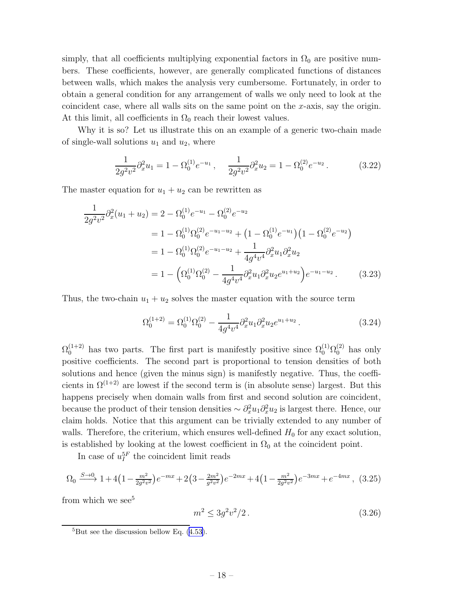<span id="page-18-0"></span>simply, that all coefficients multiplying exponential factors in  $\Omega_0$  are positive numbers. These coefficients, however, are generally complicated functions of distances between walls, which makes the analysis very cumbersome. Fortunately, in order to obtain a general condition for any arrangement of walls we only need to look at the coincident case, where all walls sits on the same point on the x-axis, say the origin. At this limit, all coefficients in  $\Omega_0$  reach their lowest values.

Why it is so? Let us illustrate this on an example of a generic two-chain made of single-wall solutions  $u_1$  and  $u_2$ , where

$$
\frac{1}{2g^2v^2}\partial_x^2u_1 = 1 - \Omega_0^{(1)}e^{-u_1}, \quad \frac{1}{2g^2v^2}\partial_x^2u_2 = 1 - \Omega_0^{(2)}e^{-u_2}.
$$
 (3.22)

The master equation for  $u_1 + u_2$  can be rewritten as

$$
\frac{1}{2g^2v^2}\partial_x^2(u_1+u_2) = 2 - \Omega_0^{(1)}e^{-u_1} - \Omega_0^{(2)}e^{-u_2}
$$
\n
$$
= 1 - \Omega_0^{(1)}\Omega_0^{(2)}e^{-u_1-u_2} + \left(1 - \Omega_0^{(1)}e^{-u_1}\right)\left(1 - \Omega_0^{(2)}e^{-u_2}\right)
$$
\n
$$
= 1 - \Omega_0^{(1)}\Omega_0^{(2)}e^{-u_1-u_2} + \frac{1}{4g^4v^4}\partial_x^2u_1\partial_x^2u_2
$$
\n
$$
= 1 - \left(\Omega_0^{(1)}\Omega_0^{(2)} - \frac{1}{4g^4v^4}\partial_x^2u_1\partial_x^2u_2e^{u_1+u_2}\right)e^{-u_1-u_2}.
$$
\n(3.23)

Thus, the two-chain  $u_1 + u_2$  solves the master equation with the source term

$$
\Omega_0^{(1+2)} = \Omega_0^{(1)} \Omega_0^{(2)} - \frac{1}{4g^4 v^4} \partial_x^2 u_1 \partial_x^2 u_2 e^{u_1 + u_2} \,. \tag{3.24}
$$

 $\Omega_0^{(1+2)}$  has two parts. The first part is manifestly positive since  $\Omega_0^{(1)}\Omega_0^{(2)}$  has only positive coefficients. The second part is proportional to tension densities of both solutions and hence (given the minus sign) is manifestly negative. Thus, the coefficients in  $\Omega^{(1+2)}$  are lowest if the second term is (in absolute sense) largest. But this happens precisely when domain walls from first and second solution are coincident, because the product of their tension densities  $\sim \partial_x^2 u_1 \partial_x^2 u_2$  is largest there. Hence, our claim holds. Notice that this argument can be trivially extended to any number of walls. Therefore, the criterium, which ensures well-defined  $H_0$  for any exact solution, is established by looking at the lowest coefficient in  $\Omega_0$  at the coincident point.

In case of  $u_I^{5F}$  the coincident limit reads

$$
\Omega_0 \xrightarrow{S \to 0} 1 + 4\left(1 - \frac{m^2}{2g^2 v^2}\right) e^{-mx} + 2\left(3 - \frac{2m^2}{g^2 v^2}\right) e^{-2mx} + 4\left(1 - \frac{m^2}{2g^2 v^2}\right) e^{-3mx} + e^{-4mx}, \tag{3.25}
$$

from which we see<sup>5</sup>

$$
m^2 \le 3g^2v^2/2. \tag{3.26}
$$

 ${}^{5}$ Butsee the discussion bellow Eq. ([4.53\)](#page-17-0).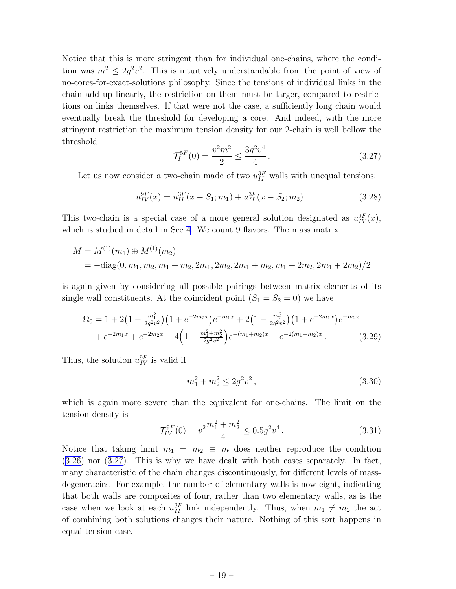Notice that this is more stringent than for individual one-chains, where the condition was  $m^2 \leq 2g^2v^2$ . This is intuitively understandable from the point of view of no-cores-for-exact-solutions philosophy. Since the tensions of individual links in the chain add up linearly, the restriction on them must be larger, compared to restrictions on links themselves. If that were not the case, a sufficiently long chain would eventually break the threshold for developing a core. And indeed, with the more stringent restriction the maximum tension density for our 2-chain is well bellow the threshold

$$
\mathcal{T}_I^{5F}(0) = \frac{v^2 m^2}{2} \le \frac{3g^2 v^4}{4}.
$$
\n(3.27)

Let us now consider a two-chain made of two  $u_{II}^{3F}$  walls with unequal tensions:

$$
u_{IV}^{9F}(x) = u_{II}^{3F}(x - S_1; m_1) + u_{II}^{3F}(x - S_2; m_2).
$$
 (3.28)

This two-chain is a special case of a more general solution designated as  $u_{IV}^{9F}(x)$ , which is studied in detail in Sec [4](#page-25-0). We count 9 flavors. The mass matrix

$$
M = M^{(1)}(m_1) \oplus M^{(1)}(m_2)
$$
  
= -diag(0, m<sub>1</sub>, m<sub>2</sub>, m<sub>1</sub> + m<sub>2</sub>, 2m<sub>1</sub>, 2m<sub>2</sub>, 2m<sub>1</sub> + m<sub>2</sub>, m<sub>1</sub> + 2m<sub>2</sub>, 2m<sub>1</sub> + 2m<sub>2</sub>)/2

is again given by considering all possible pairings between matrix elements of its single wall constituents. At the coincident point  $(S_1 = S_2 = 0)$  we have

$$
\Omega_0 = 1 + 2\left(1 - \frac{m_1^2}{2g^2v^2}\right)\left(1 + e^{-2m_2x}\right)e^{-m_1x} + 2\left(1 - \frac{m_2^2}{2g^2v^2}\right)\left(1 + e^{-2m_1x}\right)e^{-m_2x} \n+ e^{-2m_1x} + e^{-2m_2x} + 4\left(1 - \frac{m_1^2 + m_2^2}{2g^2v^2}\right)e^{-(m_1 + m_2)x} + e^{-2(m_1 + m_2)x}.
$$
\n(3.29)

Thus, the solution  $u_{IV}^{9F}$  is valid if

$$
m_1^2 + m_2^2 \le 2g^2 v^2 \,, \tag{3.30}
$$

which is again more severe than the equivalent for one-chains. The limit on the tension density is

$$
\mathcal{T}_{IV}^{9F}(0) = v^2 \frac{m_1^2 + m_2^2}{4} \le 0.5 g^2 v^4. \tag{3.31}
$$

Notice that taking limit  $m_1 = m_2 \equiv m$  does neither reproduce the condition ([3.26\)](#page-18-0) nor (3.27). This is why we have dealt with both cases separately. In fact, many characteristic of the chain changes discontinuously, for different levels of massdegeneracies. For example, the number of elementary walls is now eight, indicating that both walls are composites of four, rather than two elementary walls, as is the case when we look at each  $u_{II}^{3F}$  link independently. Thus, when  $m_1 \neq m_2$  the act of combining both solutions changes their nature. Nothing of this sort happens in equal tension case.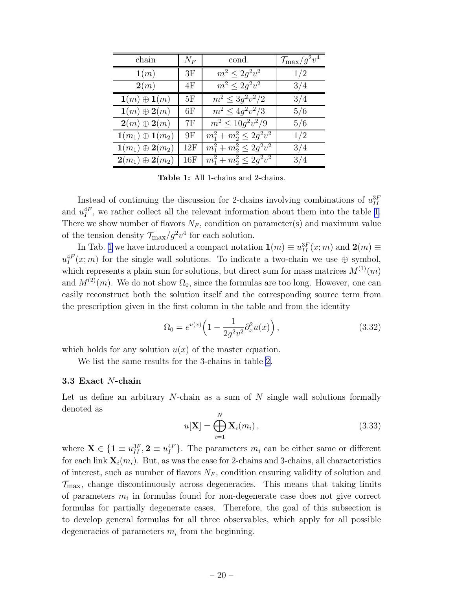<span id="page-20-0"></span>

| chain                                    | $N_F$ | cond.                        | $\mathcal{T}_{\rm max}/g^2v^4$ |
|------------------------------------------|-------|------------------------------|--------------------------------|
| $\mathbf{1}(m)$                          | 3F    | $m^2 \leq 2g^2v^2$           | 1/2                            |
| 2(m)                                     | 4F    | $m^2 \leq 2q^2v^2$           | 3/4                            |
| $\mathbf{1}(m) \oplus \mathbf{1}(m)$     | 5F    | $m^2 < 3q^2v^2/2$            | 3/4                            |
| $\mathbf{1}(m) \oplus \mathbf{2}(m)$     | 6F    | $m^2 \leq 4g^2v^2/3$         | 5/6                            |
| $2(m) \oplus 2(m)$                       | 7F    | $m^2 \leq 10g^2v^2/9$        | 5/6                            |
| $\mathbf{1}(m_1) \oplus \mathbf{1}(m_2)$ | 9F    | $m_1^2 + m_2^2 \leq 2g^2v^2$ | 1/2                            |
| $\mathbf{1}(m_1) \oplus \mathbf{2}(m_2)$ | 12F   | $m_1^2 + m_2^2 \leq 2g^2v^2$ | 3/4                            |
| $\mathbf{2}(m_1) \oplus \mathbf{2}(m_2)$ | 16F   | $m_1^2 + m_2^2 \leq 2g^2v^2$ | 3/4                            |

Table 1: All 1-chains and 2-chains.

Instead of continuing the discussion for 2-chains involving combinations of  $u_{II}^{3F}$ and  $u_I^{4F}$ , we rather collect all the relevant information about them into the table 1. There we show number of flavors  $N_F$ , condition on parameter(s) and maximum value of the tension density  $\mathcal{T}_{\text{max}}/g^2v^4$  for each solution.

In Tab. 1 we have introduced a compact notation  $\mathbf{1}(m) \equiv u_{II}^{3F}(x; m)$  and  $\mathbf{2}(m) \equiv$  $u_I^{4F}(x;m)$  for the single wall solutions. To indicate a two-chain we use  $\oplus$  symbol, which represents a plain sum for solutions, but direct sum for mass matrices  $M^{(1)}(m)$ and  $M^{(2)}(m)$ . We do not show  $\Omega_0$ , since the formulas are too long. However, one can easily reconstruct both the solution itself and the corresponding source term from the prescription given in the first column in the table and from the identity

$$
\Omega_0 = e^{u(x)} \left( 1 - \frac{1}{2g^2 v^2} \partial_x^2 u(x) \right),\tag{3.32}
$$

which holds for any solution  $u(x)$  of the master equation.

We list the same results for the 3-chains in table [2.](#page-21-0)

#### 3.3 Exact N-chain

Let us define an arbitrary  $N$ -chain as a sum of  $N$  single wall solutions formally denoted as

$$
u[\mathbf{X}] = \bigoplus_{i=1}^{N} \mathbf{X}_{i}(m_{i}), \qquad (3.33)
$$

where  $\mathbf{X} \in \{\mathbf{1} \equiv u_{II}^{3F}, \mathbf{2} \equiv u_{I}^{4F}\}\.$  The parameters  $m_i$  can be either same or different for each link  $\mathbf{X}_i(m_i)$ . But, as was the case for 2-chains and 3-chains, all characteristics of interest, such as number of flavors  $N_F$ , condition ensuring validity of solution and  $\mathcal{T}_{\text{max}}$ , change discontinuously across degeneracies. This means that taking limits of parameters  $m_i$  in formulas found for non-degenerate case does not give correct formulas for partially degenerate cases. Therefore, the goal of this subsection is to develop general formulas for all three observables, which apply for all possible degeneracies of parameters  $m_i$  from the beginning.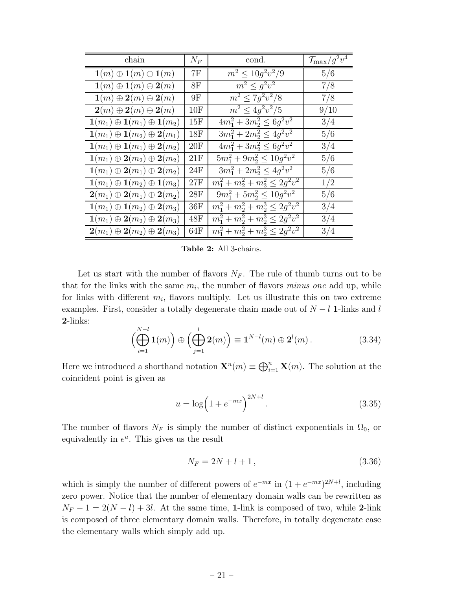<span id="page-21-0"></span>

| chain                                                                 | $N_F$          | cond.                                | $\mathcal{T}_{\rm max}/g^2v^4$ |
|-----------------------------------------------------------------------|----------------|--------------------------------------|--------------------------------|
| $\mathbf{1}(m) \oplus \mathbf{1}(m) \oplus \mathbf{1}(m)$             | 7F             | $m^2 < 10q^2v^2/9$                   | 5/6                            |
| $\mathbf{1}(m) \oplus \mathbf{1}(m) \oplus \mathbf{2}(m)$             | 8F             | $m^2 \leq g^2v^2$                    | 7/8                            |
| $\mathbf{1}(m) \oplus \mathbf{2}(m) \oplus \mathbf{2}(m)$             | 9F             | $m^2 \leq 7g^2v^2/8$                 | 7/8                            |
| $\boldsymbol{2}(m) \oplus \boldsymbol{2}(m) \oplus \boldsymbol{2}(m)$ | $10\mathrm{F}$ | $m^2 \leq 4g^2v^2/5$                 | 9/10                           |
| $\mathbf{1}(m_1) \oplus \mathbf{1}(m_1) \oplus \mathbf{1}(m_2)$       | $15\mathrm{F}$ | $4m_1^2 + 3m_2^2 \leq 6g^2v^2$       | 3/4                            |
| $\mathbf{1}(m_1) \oplus \mathbf{1}(m_2) \oplus \mathbf{2}(m_1)$       | 18F            | $3m_1^2 + 2m_2^2 \leq 4g^2v^2$       | 5/6                            |
| $\mathbf{1}(m_1) \oplus \mathbf{1}(m_1) \oplus \mathbf{2}(m_2)$       | 20F            | $4m_1^2 + 3m_2^2 \leq 6g^2v^2$       | 3/4                            |
| $\mathbf{1}(m_1) \oplus \mathbf{2}(m_2) \oplus \mathbf{2}(m_2)$       | 21F            | $5m_1^2 + 9m_2^2 \leq 10g^2v^2$      | 5/6                            |
| $\mathbf{1}(m_1) \oplus \mathbf{2}(m_1) \oplus \mathbf{2}(m_2)$       | 24F            | $3m_1^2 + 2m_2^2 \leq 4g^2v^2$       | 5/6                            |
| $\mathbf{1}(m_1) \oplus \mathbf{1}(m_2) \oplus \mathbf{1}(m_3)$       | 27F            | $m_1^2 + m_2^2 + m_3^2 \leq 2g^2v^2$ | 1/2                            |
| $\mathbf{2}(m_1) \oplus \mathbf{2}(m_1) \oplus \mathbf{2}(m_2)$       | 28F            | $9m_1^2 + 5m_2^2 \leq 10g^2v^2$      | 5/6                            |
| $\mathbf{1}(m_1) \oplus \mathbf{1}(m_2) \oplus \mathbf{2}(m_3)$       | 36F            | $m_1^2 + m_2^2 + m_2^3 \leq 2g^2v^2$ | 3/4                            |
| $\mathbf{1}(m_1) \oplus \mathbf{2}(m_2) \oplus \mathbf{2}(m_3)$       | 48F            | $m_1^2 + m_2^2 + m_2^3 \leq 2g^2v^2$ | 3/4                            |
| $\mathbf{2}(m_1) \oplus \mathbf{2}(m_2) \oplus \mathbf{2}(m_3)$       | 64F            | $m_1^2 + m_2^2 + m_2^3 \leq 2g^2v^2$ | 3/4                            |

Table 2: All 3-chains.

Let us start with the number of flavors  $N_F$ . The rule of thumb turns out to be that for the links with the same  $m_i$ , the number of flavors *minus one* add up, while for links with different  $m_i$ , flavors multiply. Let us illustrate this on two extreme examples. First, consider a totally degenerate chain made out of  $N - l$  1-links and l 2-links:

$$
\left(\bigoplus_{i=1}^{N-l} \mathbf{1}(m)\right) \oplus \left(\bigoplus_{j=1}^{l} \mathbf{2}(m)\right) \equiv \mathbf{1}^{N-l}(m) \oplus \mathbf{2}^{l}(m).
$$
 (3.34)

Here we introduced a shorthand notation  $\mathbf{X}^n(m) \equiv \bigoplus_{i=1}^n \mathbf{X}(m)$ . The solution at the coincident point is given as

$$
u = \log(1 + e^{-mx})^{2N + l}.
$$
\n(3.35)

The number of flavors  $N_F$  is simply the number of distinct exponentials in  $\Omega_0$ , or equivalently in  $e^u$ . This gives us the result

$$
N_F = 2N + l + 1, \t\t(3.36)
$$

which is simply the number of different powers of  $e^{-mx}$  in  $(1 + e^{-mx})^{2N+l}$ , including zero power. Notice that the number of elementary domain walls can be rewritten as  $N_F - 1 = 2(N - l) + 3l$ . At the same time, 1-link is composed of two, while 2-link is composed of three elementary domain walls. Therefore, in totally degenerate case the elementary walls which simply add up.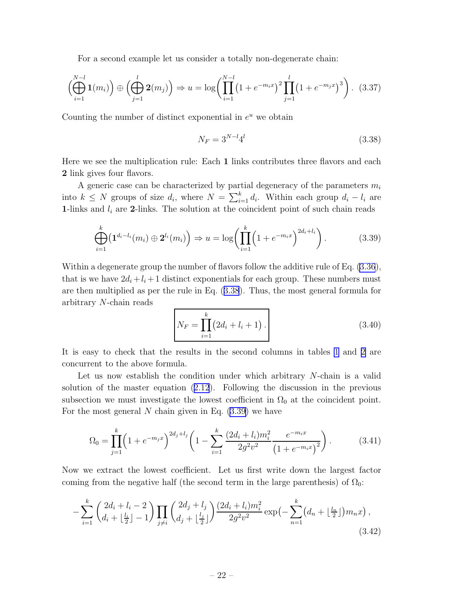<span id="page-22-0"></span>For a second example let us consider a totally non-degenerate chain:

$$
\left(\bigoplus_{i=1}^{N-l} \mathbf{1}(m_i)\right) \oplus \left(\bigoplus_{j=1}^{l} \mathbf{2}(m_j)\right) \Rightarrow u = \log \left(\prod_{i=1}^{N-l} \left(1 + e^{-m_i x}\right)^2 \prod_{j=1}^{l} \left(1 + e^{-m_j x}\right)^3\right). \tag{3.37}
$$

Counting the number of distinct exponential in  $e^u$  we obtain

$$
N_F = 3^{N-l}4^l \t\t(3.38)
$$

Here we see the multiplication rule: Each 1 links contributes three flavors and each 2 link gives four flavors.

A generic case can be characterized by partial degeneracy of the parameters  $m_i$ into  $k \leq N$  groups of size  $d_i$ , where  $N = \sum_{i=1}^{k} d_i$ . Within each group  $d_i - l_i$  are 1-links and  $l_i$  are 2-links. The solution at the coincident point of such chain reads

$$
\bigoplus_{i=1}^{k} \left( \mathbf{1}^{d_i - l_i}(m_i) \oplus \mathbf{2}^{l_i}(m_i) \right) \Rightarrow u = \log \left( \prod_{i=1}^{k} \left( 1 + e^{-m_i x} \right)^{2d_i + l_i} \right). \tag{3.39}
$$

Within a degenerate group the number of flavors follow the additive rule of Eq. [\(3.36](#page-21-0)), that is we have  $2d_i + l_i + 1$  distinct exponentials for each group. These numbers must are then multiplied as per the rule in Eq. (3.38). Thus, the most general formula for arbitrary N-chain reads

$$
N_F = \prod_{i=1}^{k} (2d_i + l_i + 1).
$$
 (3.40)

It is easy to check that the results in the second columns in tables [1](#page-20-0) and [2](#page-21-0) are concurrent to the above formula.

Let us now establish the condition under which arbitrary N-chain is a valid solution of the master equation([2.12](#page-5-0)). Following the discussion in the previous subsection we must investigate the lowest coefficient in  $\Omega_0$  at the coincident point. For the most general N chain given in Eq.  $(3.39)$  we have

$$
\Omega_0 = \prod_{j=1}^k \left( 1 + e^{-m_j x} \right)^{2d_j + l_j} \left( 1 - \sum_{i=1}^k \frac{(2d_i + l_i)m_i^2}{2g^2 v^2} \frac{e^{-m_i x}}{\left( 1 + e^{-m_i x} \right)^2} \right). \tag{3.41}
$$

Now we extract the lowest coefficient. Let us first write down the largest factor coming from the negative half (the second term in the large parenthesis) of  $\Omega_0$ :

$$
-\sum_{i=1}^{k} \binom{2d_i + l_i - 2}{d_i + \lfloor \frac{l_i}{2} \rfloor - 1} \prod_{j \neq i} \binom{2d_j + l_j}{d_j + \lfloor \frac{l_j}{2} \rfloor} \frac{(2d_i + l_i)m_i^2}{2g^2v^2} \exp\left(-\sum_{n=1}^{k} (d_n + \lfloor \frac{l_n}{2} \rfloor)m_nx\right),\tag{3.42}
$$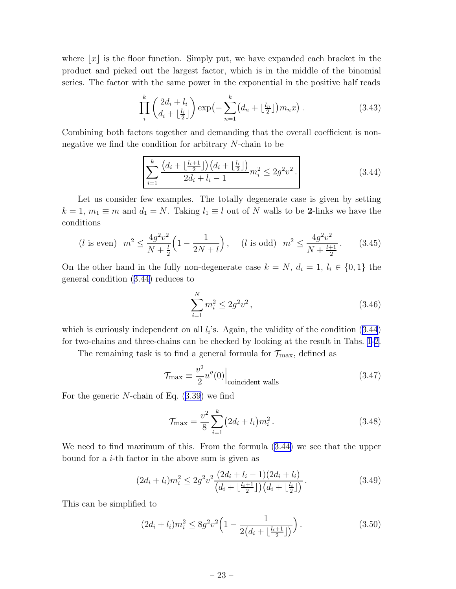<span id="page-23-0"></span>where  $x|$  is the floor function. Simply put, we have expanded each bracket in the product and picked out the largest factor, which is in the middle of the binomial series. The factor with the same power in the exponential in the positive half reads

$$
\prod_{i}^{k} \left( \frac{2d_i + l_i}{d_i + \lfloor \frac{l_i}{2} \rfloor} \right) \exp\left(-\sum_{n=1}^{k} \left(d_n + \lfloor \frac{l_n}{2} \rfloor\right) m_n x\right). \tag{3.43}
$$

Combining both factors together and demanding that the overall coefficient is nonnegative we find the condition for arbitrary N-chain to be

$$
\sum_{i=1}^{k} \frac{\left(d_i + \left\lfloor \frac{l_i + 1}{2} \right\rfloor\right) \left(d_i + \left\lfloor \frac{l_i}{2} \right\rfloor\right)}{2d_i + l_i - 1} m_i^2 \le 2g^2 v^2.
$$
\n(3.44)

Let us consider few examples. The totally degenerate case is given by setting  $k = 1, m_1 \equiv m$  and  $d_1 = N$ . Taking  $l_1 \equiv l$  out of N walls to be 2-links we have the conditions

$$
(l \text{ is even}) \ \ m^2 \le \frac{4g^2v^2}{N + \frac{l}{2}} \left(1 - \frac{1}{2N + l}\right), \quad (l \text{ is odd}) \ \ m^2 \le \frac{4g^2v^2}{N + \frac{l+1}{2}}. \tag{3.45}
$$

On the other hand in the fully non-degenerate case  $k = N$ ,  $d_i = 1$ ,  $l_i \in \{0, 1\}$  the general condition (3.44) reduces to

$$
\sum_{i=1}^{N} m_i^2 \le 2g^2 v^2, \tag{3.46}
$$

which is curiously independent on all  $l_i$ 's. Again, the validity of the condition  $(3.44)$ for two-chains and three-chains can be checked by looking at the result in Tabs. [1-](#page-20-0)[2.](#page-21-0)

The remaining task is to find a general formula for  $\mathcal{T}_{\text{max}}$ , defined as

$$
\mathcal{T}_{\text{max}} \equiv \frac{v^2}{2} u''(0) \Big|_{\text{coincident walls}} \tag{3.47}
$$

For the generic N-chain of Eq.([3.39\)](#page-22-0) we find

$$
\mathcal{T}_{\text{max}} = \frac{v^2}{8} \sum_{i=1}^{k} (2d_i + l_i) m_i^2.
$$
 (3.48)

We need to find maximum of this. From the formula (3.44) we see that the upper bound for a  $i$ -th factor in the above sum is given as

$$
(2d_i + l_i)m_i^2 \le 2g^2v^2 \frac{(2d_i + l_i - 1)(2d_i + l_i)}{(d_i + \lfloor \frac{l_i + 1}{2} \rfloor)(d_i + \lfloor \frac{l_i}{2} \rfloor)}.
$$
\n(3.49)

This can be simplified to

$$
(2d_i + l_i)m_i^2 \le 8g^2v^2\left(1 - \frac{1}{2\left(d_i + \lfloor \frac{l_i + 1}{2} \rfloor\right)}\right). \tag{3.50}
$$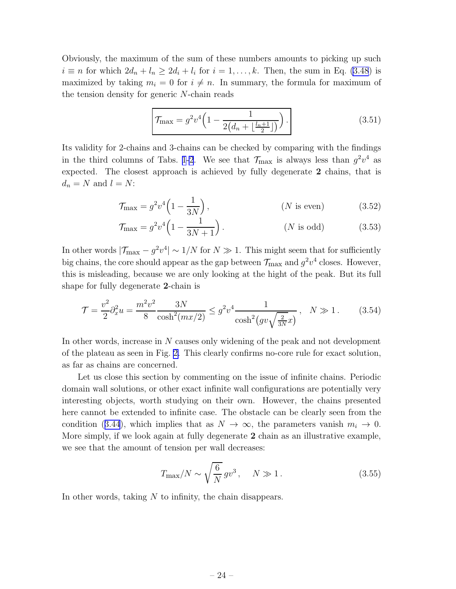Obviously, the maximum of the sum of these numbers amounts to picking up such  $i \equiv n$  for which  $2d_n + l_n \ge 2d_i + l_i$  for  $i = 1, ..., k$ . Then, the sum in Eq. [\(3.48](#page-23-0)) is maximized by taking  $m_i = 0$  for  $i \neq n$ . In summary, the formula for maximum of the tension density for generic N-chain reads

$$
\mathcal{T}_{\text{max}} = g^2 v^4 \left( 1 - \frac{1}{2\left(d_n + \left\lfloor \frac{l_n + 1}{2} \right\rfloor\right)} \right). \tag{3.51}
$$

Its validity for 2-chains and 3-chains can be checked by comparing with the findings in the third columns of Tabs. [1](#page-20-0)[-2](#page-21-0). We see that  $\mathcal{T}_{\text{max}}$  is always less than  $g^2v^4$  as expected. The closest approach is achieved by fully degenerate 2 chains, that is  $d_n = N$  and  $l = N$ :

$$
\mathcal{T}_{\text{max}} = g^2 v^4 \left( 1 - \frac{1}{3N} \right),\tag{3.52}
$$

$$
\mathcal{T}_{\text{max}} = g^2 v^4 \left( 1 - \frac{1}{3N + 1} \right). \tag{3.53}
$$

In other words  $|\mathcal{T}_{\text{max}} - g^2 v^4| \sim 1/N$  for  $N \gg 1$ . This might seem that for sufficiently big chains, the core should appear as the gap between  $\mathcal{T}_{\text{max}}$  and  $g^2v^4$  closes. However, this is misleading, because we are only looking at the hight of the peak. But its full shape for fully degenerate 2-chain is

$$
\mathcal{T} = \frac{v^2}{2} \partial_x^2 u = \frac{m^2 v^2}{8} \frac{3N}{\cosh^2(mx/2)} \le g^2 v^4 \frac{1}{\cosh^2(gv\sqrt{\frac{2}{3N}x})}, \quad N \gg 1. \tag{3.54}
$$

In other words, increase in N causes only widening of the peak and not development of the plateau as seen in Fig. [2.](#page-10-0) This clearly confirms no-core rule for exact solution, as far as chains are concerned.

Let us close this section by commenting on the issue of infinite chains. Periodic domain wall solutions, or other exact infinite wall configurations are potentially very interesting objects, worth studying on their own. However, the chains presented here cannot be extended to infinite case. The obstacle can be clearly seen from the condition([3.44](#page-23-0)), which implies that as  $N \to \infty$ , the parameters vanish  $m_i \to 0$ . More simply, if we look again at fully degenerate 2 chain as an illustrative example, we see that the amount of tension per wall decreases:

$$
T_{\text{max}}/N \sim \sqrt{\frac{6}{N}} g v^3, \quad N \gg 1. \tag{3.55}
$$

In other words, taking N to infinity, the chain disappears.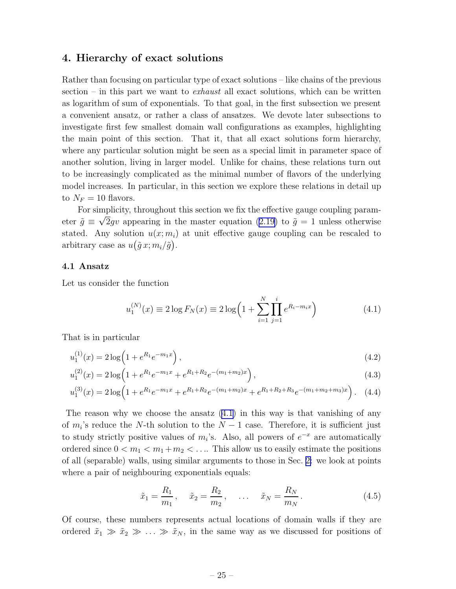## <span id="page-25-0"></span>4. Hierarchy of exact solutions

Rather than focusing on particular type of exact solutions – like chains of the previous section – in this part we want to *exhaust* all exact solutions, which can be written as logarithm of sum of exponentials. To that goal, in the first subsection we present a convenient ansatz, or rather a class of ansatzes. We devote later subsections to investigate first few smallest domain wall configurations as examples, highlighting the main point of this section. That it, that all exact solutions form hierarchy, where any particular solution might be seen as a special limit in parameter space of another solution, living in larger model. Unlike for chains, these relations turn out to be increasingly complicated as the minimal number of flavors of the underlying model increases. In particular, in this section we explore these relations in detail up to  $N_F = 10$  flavors.

For simplicity, throughout this section we fix the effective gauge coupling param-eter $\tilde{g} \equiv \sqrt{2}gv$  appearing in the master equation ([2.19\)](#page-7-0) to  $\tilde{g} = 1$  unless otherwise stated. Any solution  $u(x; m<sub>i</sub>)$  at unit effective gauge coupling can be rescaled to arbitrary case as  $u(\tilde{g} x; m_i/\tilde{g})$ .

## 4.1 Ansatz

Let us consider the function

$$
u_1^{(N)}(x) \equiv 2 \log F_N(x) \equiv 2 \log \left( 1 + \sum_{i=1}^N \prod_{j=1}^i e^{R_i - m_i x} \right) \tag{4.1}
$$

That is in particular

$$
u_1^{(1)}(x) = 2\log\left(1 + e^{R_1}e^{-m_1x}\right),\tag{4.2}
$$

$$
u_1^{(2)}(x) = 2\log\left(1 + e^{R_1}e^{-m_1x} + e^{R_1 + R_2}e^{-(m_1 + m_2)x}\right),\tag{4.3}
$$

$$
u_1^{(3)}(x) = 2\log\left(1 + e^{R_1}e^{-m_1x} + e^{R_1 + R_2}e^{-(m_1 + m_2)x} + e^{R_1 + R_2 + R_3}e^{-(m_1 + m_2 + m_3)x}\right). \tag{4.4}
$$

The reason why we choose the ansatz  $(4.1)$  in this way is that vanishing of any of  $m_i$ 's reduce the N-th solution to the  $N-1$  case. Therefore, it is sufficient just to study strictly positive values of  $m_i$ 's. Also, all powers of  $e^{-x}$  are automatically ordered since  $0 < m_1 < m_1 + m_2 < \ldots$  This allow us to easily estimate the positions of all (separable) walls, using similar arguments to those in Sec. [2:](#page-3-0) we look at points where a pair of neighbouring exponentials equals:

$$
\tilde{x}_1 = \frac{R_1}{m_1}, \quad \tilde{x}_2 = \frac{R_2}{m_2}, \quad \dots \quad \tilde{x}_N = \frac{R_N}{m_N}.
$$
\n(4.5)

Of course, these numbers represents actual locations of domain walls if they are ordered  $\tilde{x}_1 \gg \tilde{x}_2 \gg \ldots \gg \tilde{x}_N$ , in the same way as we discussed for positions of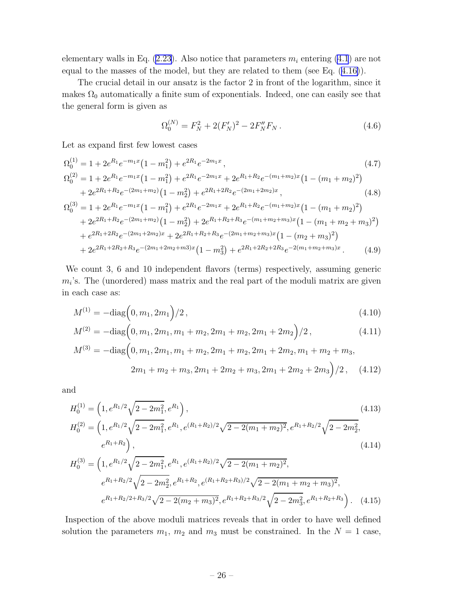elementary walls in Eq.  $(2.23)$ . Also notice that parameters  $m_i$  entering  $(4.1)$  are not equal to the masses of the model, but they are related to them (see Eq.([4.16\)](#page-27-0)).

The crucial detail in our ansatz is the factor 2 in front of the logarithm, since it makes  $\Omega_0$  automatically a finite sum of exponentials. Indeed, one can easily see that the general form is given as

$$
\Omega_0^{(N)} = F_N^2 + 2(F_N')^2 - 2F_N''F_N.
$$
\n(4.6)

Let as expand first few lowest cases

$$
\Omega_0^{(1)} = 1 + 2e^{R_1}e^{-m_1x}(1 - m_1^2) + e^{2R_1}e^{-2m_1x},
$$
\n
$$
\Omega_0^{(2)} = 1 + 2e^{R_1}e^{-m_1x}(1 - m_1^2) + e^{2R_1}e^{-2m_1x} + 2e^{R_1+R_2}e^{-(m_1+m_2)x}(1 - (m_1+m_2)^2) + 2e^{2R_1+R_2}e^{-(2m_1+m_2)}(1 - m_2^2) + e^{2R_1+2R_2}e^{-(2m_1+2m_2)x},
$$
\n(4.8)

$$
\Omega_0^{(3)} = 1 + 2e^{R_1}e^{-m_1x}(1 - m_1^2) + e^{2R_1}e^{-2m_1x} + 2e^{R_1+R_2}e^{-(m_1+m_2)x}(1 - (m_1+m_2)^2) \n+ 2e^{2R_1+R_2}e^{-(2m_1+m_2)}(1 - m_2^2) + 2e^{R_1+R_2+R_3}e^{-(m_1+m_2+m_3)x}(1 - (m_1+m_2+m_3)^2) \n+ e^{2R_1+2R_2}e^{-(2m_1+2m_2)x} + 2e^{2R_1+R_2+R_3}e^{-(2m_1+m_2+m_3)x}(1 - (m_2+m_3)^2) \n+ 2e^{2R_1+2R_2+R_3}e^{-(2m_1+2m_2+m_3)x}(1 - m_3^2) + e^{2R_1+2R_2+2R_3}e^{-2(m_1+m_2+m_3)x}.
$$
\n(4.9)

We count 3, 6 and 10 independent flavors (terms) respectively, assuming generic  $m_i$ 's. The (unordered) mass matrix and the real part of the moduli matrix are given in each case as:

$$
M^{(1)} = -\text{diag}\left(0, m_1, 2m_1\right)/2\,,\tag{4.10}
$$

$$
M^{(2)} = -\text{diag}\left(0, m_1, 2m_1, m_1 + m_2, 2m_1 + m_2, 2m_1 + 2m_2\right)/2, \tag{4.11}
$$

$$
M^{(3)} = -\text{diag}\left(0, m_1, 2m_1, m_1 + m_2, 2m_1 + m_2, 2m_1 + 2m_2, m_1 + m_2 + m_3, \right.
$$
  

$$
2m_1 + m_2 + m_3, 2m_1 + 2m_2 + m_3, 2m_1 + 2m_2 + 2m_3\right)/2, \quad (4.12)
$$

and

$$
H_0^{(1)} = \left(1, e^{R_1/2}\sqrt{2 - 2m_1^2}, e^{R_1}\right),
$$
  
\n
$$
H_0^{(2)} = \left(1, e^{R_1/2}\sqrt{2 - 2m_1^2}, e^{R_1}, e^{(R_1 + R_2)/2}\sqrt{2 - 2(m_1 + m_2)^2}, e^{R_1 + R_2/2}\sqrt{2 - 2m_2^2}, e^{R_1 + R_2}\right),
$$
\n(4.14)

$$
H_0^{(3)} = \left(1, e^{R_1/2}\sqrt{2 - 2m_1^2}, e^{R_1}, e^{(R_1 + R_2)/2}\sqrt{2 - 2(m_1 + m_2)^2},\right.
$$
  
\n
$$
e^{R_1 + R_2/2}\sqrt{2 - 2m_2^2}, e^{R_1 + R_2}, e^{(R_1 + R_2 + R_3)/2}\sqrt{2 - 2(m_1 + m_2 + m_3)^2},\right.
$$
  
\n
$$
e^{R_1 + R_2/2 + R_3/2}\sqrt{2 - 2(m_2 + m_3)^2}, e^{R_1 + R_2 + R_3/2}\sqrt{2 - 2m_3^2}, e^{R_1 + R_2 + R_3}.
$$
 (4.15)

Inspection of the above moduli matrices reveals that in order to have well defined solution the parameters  $m_1$ ,  $m_2$  and  $m_3$  must be constrained. In the  $N = 1$  case,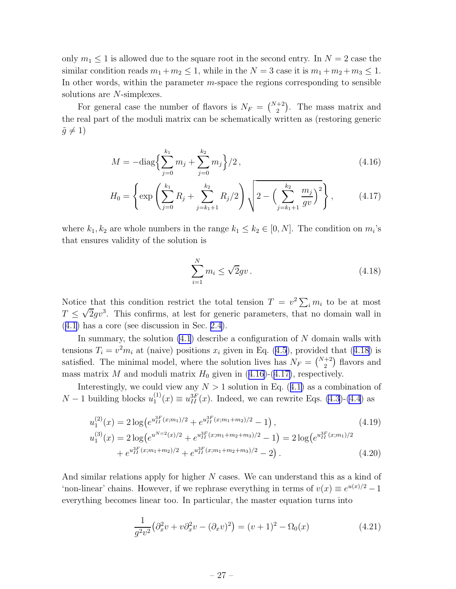<span id="page-27-0"></span>only  $m_1 \leq 1$  is allowed due to the square root in the second entry. In  $N = 2$  case the similar condition reads  $m_1 + m_2 \leq 1$ , while in the  $N = 3$  case it is  $m_1 + m_2 + m_3 \leq 1$ . In other words, within the parameter  $m$ -space the regions corresponding to sensible solutions are *N*-simplexes.

For general case the number of flavors is  $N_F = \binom{N+2}{2}$ . The mass matrix and the real part of the moduli matrix can be schematically written as (restoring generic  $\tilde{g} \neq 1$ 

$$
M = -\text{diag}\left\{\sum_{j=0}^{k_1} m_j + \sum_{j=0}^{k_2} m_j\right\}/2\,,\tag{4.16}
$$

$$
H_0 = \left\{ \exp\left(\sum_{j=0}^{k_1} R_j + \sum_{j=k_1+1}^{k_2} R_j / 2\right) \sqrt{2 - \left(\sum_{j=k_1+1}^{k_2} \frac{m_j}{gv}\right)^2} \right\},\tag{4.17}
$$

where  $k_1, k_2$  are whole numbers in the range  $k_1 \leq k_2 \in [0, N]$ . The condition on  $m_i$ 's that ensures validity of the solution is

$$
\sum_{i=1}^{N} m_i \le \sqrt{2}gv. \tag{4.18}
$$

Notice that this condition restrict the total tension  $T = v^2 \sum_i m_i$  to be at most  $T \n\t\leq \sqrt{2}gv^3$ . This confirms, at lest for generic parameters, that no domain wall in ([4.1\)](#page-25-0) has a core (see discussion in Sec. [2.4\)](#page-9-0).

In summary, the solution  $(4.1)$  describe a configuration of N domain walls with tensions  $T_i = v^2 m_i$  at (naive) positions  $x_i$  given in Eq. [\(4.5](#page-25-0)), provided that (4.18) is satisfied. The minimal model, where the solution lives has  $N_F = \binom{N+2}{2}$  flavors and mass matrix M and moduli matrix  $H_0$  given in (4.16)-(4.17), respectively.

Interestingly,we could view any  $N > 1$  solution in Eq. ([4.1\)](#page-25-0) as a combination of  $N-1$  building blocks  $u_1^{(1)}$  $u_1^{(1)}(x) \equiv u_{II}^{3F}(x)$ . Indeed, we can rewrite Eqs. [\(4.3](#page-25-0))-[\(4.4](#page-25-0)) as

$$
u_1^{(2)}(x) = 2 \log \left(e^{u_{II}^{3F}(x;m_1)/2} + e^{u_{II}^{3F}(x;m_1+m_2)/2} - 1\right),
$$
\n
$$
u_1^{(3)}(x) = 2 \log \left(e^{u^{N=2}(x)/2} + e^{u_{II}^{3F}(x;m_1+m_2+m_3)/2} - 1\right) = 2 \log \left(e^{u_{II}^{3F}(x;m_1)/2} + e^{u_{II}^{3F}(x;m_1+m_2+m_3)/2} - 2\right).
$$
\n(4.20)

And similar relations apply for higher N cases. We can understand this as a kind of 'non-linear' chains. However, if we rephrase everything in terms of  $v(x) \equiv e^{u(x)/2} - 1$ everything becomes linear too. In particular, the master equation turns into

$$
\frac{1}{g^2v^2} \left(\partial_x^2 v + v \partial_x^2 v - (\partial_x v)^2\right) = (v+1)^2 - \Omega_0(x) \tag{4.21}
$$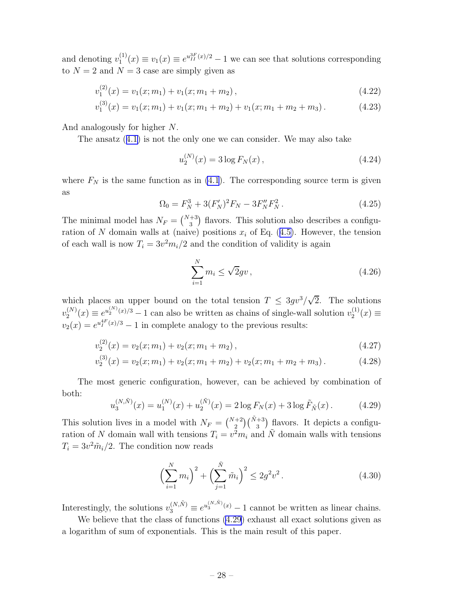<span id="page-28-0"></span>and denoting  $v_1^{(1)}$  $u_1^{(1)}(x) \equiv v_1(x) \equiv e^{u_{II}^{3F}(x)/2} - 1$  we can see that solutions corresponding to  $N = 2$  and  $N = 3$  case are simply given as

$$
v_1^{(2)}(x) = v_1(x; m_1) + v_1(x; m_1 + m_2), \qquad (4.22)
$$

$$
v_1^{(3)}(x) = v_1(x; m_1) + v_1(x; m_1 + m_2) + v_1(x; m_1 + m_2 + m_3). \tag{4.23}
$$

And analogously for higher N.

The ansatz([4.1\)](#page-25-0) is not the only one we can consider. We may also take

$$
u_2^{(N)}(x) = 3\log F_N(x), \qquad (4.24)
$$

where  $F_N$  is the same function as in [\(4.1](#page-25-0)). The corresponding source term is given as

$$
\Omega_0 = F_N^3 + 3(F_N')^2 F_N - 3F_N'' F_N^2. \tag{4.25}
$$

The minimal model has  $N_F = \binom{N+3}{3}$  flavors. This solution also describes a configurationof N domain walls at (naive) positions  $x_i$  of Eq. ([4.5\)](#page-25-0). However, the tension of each wall is now  $T_i = 3v^2 m_i/2$  and the condition of validity is again

$$
\sum_{i=1}^{N} m_i \le \sqrt{2}gv \,,\tag{4.26}
$$

which places an upper bound on the total tension  $T \n\leq 3gv^3/\sqrt{2}$ . The solutions  $v_2^{(N)}$  $2^{(N)}(x) \equiv e^{u_2^{(N)}(x)/3} - 1$  can also be written as chains of single-wall solution  $v_2^{(1)}$  $2^{(1)}(x) \equiv$  $v_2(x) = e^{u_1^{4F}(x)/3} - 1$  in complete analogy to the previous results:

$$
v_2^{(2)}(x) = v_2(x; m_1) + v_2(x; m_1 + m_2), \qquad (4.27)
$$

$$
v_2^{(3)}(x) = v_2(x; m_1) + v_2(x; m_1 + m_2) + v_2(x; m_1 + m_2 + m_3).
$$
 (4.28)

The most generic configuration, however, can be achieved by combination of both:

$$
u_3^{(N,\tilde{N})}(x) = u_1^{(N)}(x) + u_2^{(\tilde{N})}(x) = 2\log F_N(x) + 3\log \tilde{F}_{\tilde{N}}(x).
$$
 (4.29)

This solution lives in a model with  $N_F = \binom{N+2}{2} \binom{\tilde{N}+3}{3}$  flavors. It depicts a configuration of N domain wall with tensions  $T_i = v^2 m_i$  and  $\tilde{N}$  domain walls with tensions  $T_i = 3v^2\tilde{m}_i/2$ . The condition now reads

$$
\left(\sum_{i=1}^{N} m_i\right)^2 + \left(\sum_{j=1}^{\tilde{N}} \tilde{m}_i\right)^2 \le 2g^2 v^2.
$$
 (4.30)

Interestingly, the solutions  $v_3^{(N,\tilde{N})} \equiv e^{u_3^{(N,\tilde{N})}(x)} - 1$  cannot be written as linear chains. We believe that the class of functions (4.29) exhaust all exact solutions given as

a logarithm of sum of exponentials. This is the main result of this paper.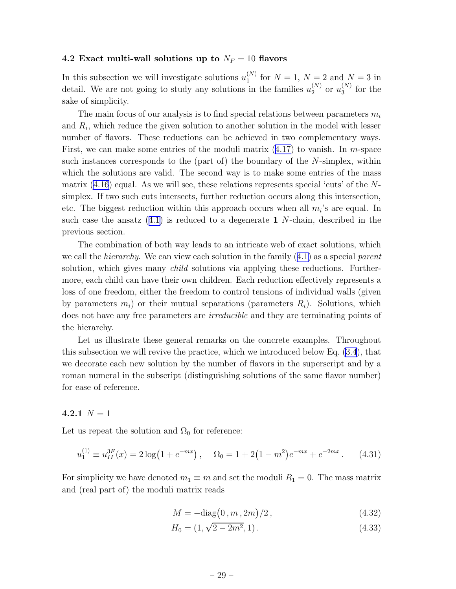#### <span id="page-29-0"></span>4.2 Exact multi-wall solutions up to  $N_F = 10$  flavors

In this subsection we will investigate solutions  $u_1^{(N)}$  $_1^{(N)}$  for  $N = 1, N = 2$  and  $N = 3$  in detail. We are not going to study any solutions in the families  $u_2^{(N)}$  $_{2}^{(N)}$  or  $u_{3}^{(N)}$  $_3^{\left(N\right)}$  for the sake of simplicity.

The main focus of our analysis is to find special relations between parameters  $m_i$ and  $R_i$ , which reduce the given solution to another solution in the model with lesser number of flavors. These reductions can be achieved in two complementary ways. First,we can make some entries of the moduli matrix  $(4.17)$  $(4.17)$  to vanish. In m-space such instances corresponds to the (part of) the boundary of the N-simplex, within which the solutions are valid. The second way is to make some entries of the mass matrix  $(4.16)$  equal. As we will see, these relations represents special 'cuts' of the Nsimplex. If two such cuts intersects, further reduction occurs along this intersection, etc. The biggest reduction within this approach occurs when all  $m_i$ 's are equal. In suchcase the ansatz  $(4.1)$  $(4.1)$  is reduced to a degenerate 1 N-chain, described in the previous section.

The combination of both way leads to an intricate web of exact solutions, which wecall the *hierarchy*. We can view each solution in the family  $(4.1)$  $(4.1)$  as a special parent solution, which gives many *child* solutions via applying these reductions. Furthermore, each child can have their own children. Each reduction effectively represents a loss of one freedom, either the freedom to control tensions of individual walls (given by parameters  $m_i$ ) or their mutual separations (parameters  $R_i$ ). Solutions, which does not have any free parameters are irreducible and they are terminating points of the hierarchy.

Let us illustrate these general remarks on the concrete examples. Throughout this subsection we will revive the practice, which we introduced below Eq. [\(3.4](#page-14-0)), that we decorate each new solution by the number of flavors in the superscript and by a roman numeral in the subscript (distinguishing solutions of the same flavor number) for ease of reference.

# 4.2.1  $N = 1$

Let us repeat the solution and  $\Omega_0$  for reference:

$$
u_1^{(1)} \equiv u_{II}^{3F}(x) = 2\log(1 + e^{-mx}), \quad \Omega_0 = 1 + 2(1 - m^2)e^{-mx} + e^{-2mx}. \tag{4.31}
$$

For simplicity we have denoted  $m_1 \equiv m$  and set the moduli  $R_1 = 0$ . The mass matrix and (real part of) the moduli matrix reads

$$
M = -\text{diag}(0, m, 2m)/2, \qquad (4.32)
$$

$$
H_0 = (1, \sqrt{2 - 2m^2}, 1). \tag{4.33}
$$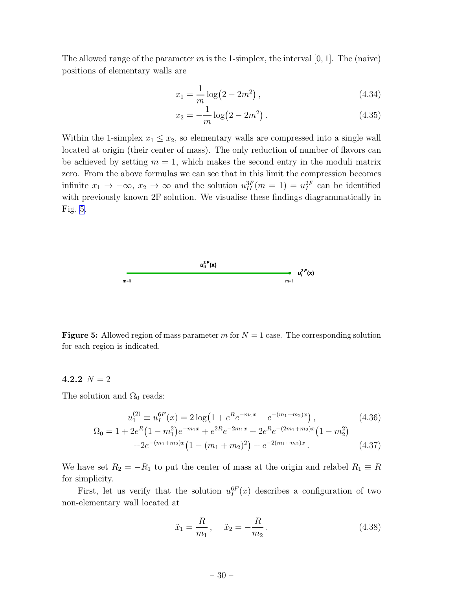<span id="page-30-0"></span>The allowed range of the parameter m is the 1-simplex, the interval  $[0, 1]$ . The (naive) positions of elementary walls are

$$
x_1 = \frac{1}{m} \log(2 - 2m^2), \qquad (4.34)
$$

$$
x_2 = -\frac{1}{m}\log(2 - 2m^2). \tag{4.35}
$$

Within the 1-simplex  $x_1 \leq x_2$ , so elementary walls are compressed into a single wall located at origin (their center of mass). The only reduction of number of flavors can be achieved by setting  $m = 1$ , which makes the second entry in the moduli matrix zero. From the above formulas we can see that in this limit the compression becomes infinite  $x_1 \to -\infty$ ,  $x_2 \to \infty$  and the solution  $u_{II}^{3F}(m = 1) = u_I^{2F}$  can be identified with previously known  $2F$  solution. We visualise these findings diagrammatically in Fig. 5.



**Figure 5:** Allowed region of mass parameter m for  $N = 1$  case. The corresponding solution for each region is indicated.

#### 4.2.2  $N = 2$

The solution and  $\Omega_0$  reads:

$$
u_1^{(2)} \equiv u_I^{6F}(x) = 2\log\left(1 + e^R e^{-m_1 x} + e^{-(m_1 + m_2)x}\right),\tag{4.36}
$$

$$
\Omega_0 = 1 + 2e^R \left( 1 - m_1^2 \right) e^{-m_1 x} + e^{2R} e^{-2m_1 x} + 2e^R e^{-(2m_1 + m_2)x} \left( 1 - m_2^2 \right) + 2e^{-(m_1 + m_2)x} \left( 1 - (m_1 + m_2)^2 \right) + e^{-2(m_1 + m_2)x} .
$$
\n(4.37)

We have set  $R_2 = -R_1$  to put the center of mass at the origin and relabel  $R_1 \equiv R$ for simplicity.

First, let us verify that the solution  $u_I^{6F}(x)$  describes a configuration of two non-elementary wall located at

$$
\tilde{x}_1 = \frac{R}{m_1}, \quad \tilde{x}_2 = -\frac{R}{m_2}.
$$
\n(4.38)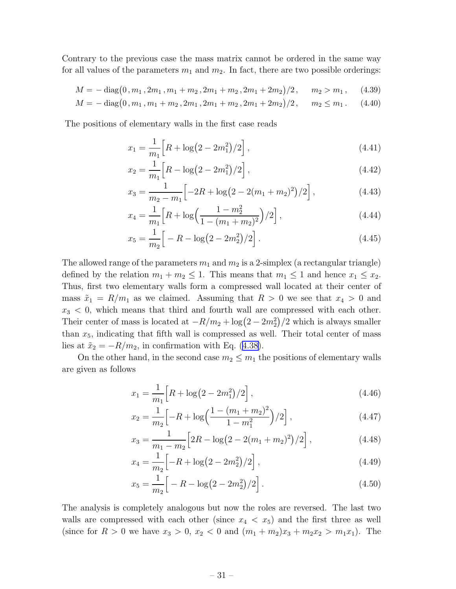Contrary to the previous case the mass matrix cannot be ordered in the same way for all values of the parameters  $m_1$  and  $m_2$ . In fact, there are two possible orderings:

$$
M = -\operatorname{diag}\bigl(0, m_1, 2m_1, m_1 + m_2, 2m_1 + m_2, 2m_1 + 2m_2\bigr)/2, \quad m_2 > m_1, \quad (4.39)
$$

$$
M = -\operatorname{diag}\bigl(0, m_1, m_1 + m_2, 2m_1, 2m_1 + m_2, 2m_1 + 2m_2\bigr)/2, \quad m_2 \le m_1. \tag{4.40}
$$

The positions of elementary walls in the first case reads

$$
x_1 = \frac{1}{m_1} \left[ R + \log(2 - 2m_1^2)/2 \right],\tag{4.41}
$$

$$
x_2 = \frac{1}{m_1} \left[ R - \log(2 - 2m_1^2)/2 \right],\tag{4.42}
$$

$$
x_3 = \frac{1}{m_2 - m_1} \left[ -2R + \log(2 - 2(m_1 + m_2)^2)/2 \right],\tag{4.43}
$$

$$
x_4 = \frac{1}{m_1} \left[ R + \log \left( \frac{1 - m_2^2}{1 - (m_1 + m_2)^2} \right) / 2 \right],\tag{4.44}
$$

$$
x_5 = \frac{1}{m_2} \Big[ -R - \log(2 - 2m_2^2)/2 \Big]. \tag{4.45}
$$

The allowed range of the parameters  $m_1$  and  $m_2$  is a 2-simplex (a rectangular triangle) defined by the relation  $m_1 + m_2 \leq 1$ . This means that  $m_1 \leq 1$  and hence  $x_1 \leq x_2$ . Thus, first two elementary walls form a compressed wall located at their center of mass  $\tilde{x}_1 = R/m_1$  as we claimed. Assuming that  $R > 0$  we see that  $x_4 > 0$  and  $x_3 < 0$ , which means that third and fourth wall are compressed with each other. Their center of mass is located at  $-R/m_2 + \log(2 - 2m_2^2)/2$  which is always smaller than  $x_5$ , indicating that fifth wall is compressed as well. Their total center of mass liesat  $\tilde{x}_2 = -R/m_2$ , in confirmation with Eq. ([4.38\)](#page-30-0).

On the other hand, in the second case  $m_2 \leq m_1$  the positions of elementary walls are given as follows

$$
x_1 = \frac{1}{m_1} \left[ R + \log(2 - 2m_1^2)/2 \right],\tag{4.46}
$$

$$
x_2 = \frac{1}{m_2} \left[ -R + \log \left( \frac{1 - (m_1 + m_2)^2}{1 - m_1^2} \right) / 2 \right],\tag{4.47}
$$

$$
x_3 = \frac{1}{m_1 - m_2} \left[ 2R - \log(2 - 2(m_1 + m_2)^2) / 2 \right],\tag{4.48}
$$

$$
x_4 = \frac{1}{m_2} \left[ -R + \log(2 - 2m_2^2)/2 \right],\tag{4.49}
$$

$$
x_5 = \frac{1}{m_2} \Big[ -R - \log(2 - 2m_2^2)/2 \Big]. \tag{4.50}
$$

The analysis is completely analogous but now the roles are reversed. The last two walls are compressed with each other (since  $x_4 < x_5$ ) and the first three as well (since for  $R > 0$  we have  $x_3 > 0$ ,  $x_2 < 0$  and  $(m_1 + m_2)x_3 + m_2x_2 > m_1x_1$ ). The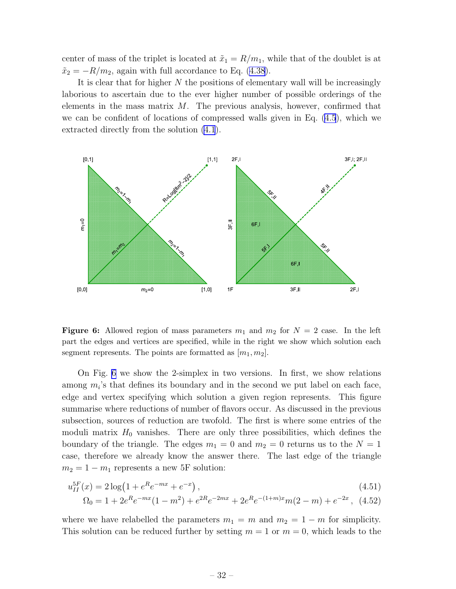<span id="page-32-0"></span>center of mass of the triplet is located at  $\tilde{x}_1 = R/m_1$ , while that of the doublet is at  $\tilde{x}_2 = -R/m_2$ , again with full accordance to Eq. [\(4.38](#page-30-0)).

It is clear that for higher N the positions of elementary wall will be increasingly laborious to ascertain due to the ever higher number of possible orderings of the elements in the mass matrix  $M$ . The previous analysis, however, confirmed that we can be confident of locations of compressed walls given in Eq. [\(4.5](#page-25-0)), which we extracted directly from the solution [\(4.1](#page-25-0)).



Figure 6: Allowed region of mass parameters  $m_1$  and  $m_2$  for  $N = 2$  case. In the left part the edges and vertices are specified, while in the right we show which solution each segment represents. The points are formatted as  $[m_1, m_2]$ .

On Fig. 6 we show the 2-simplex in two versions. In first, we show relations among  $m_i$ 's that defines its boundary and in the second we put label on each face, edge and vertex specifying which solution a given region represents. This figure summarise where reductions of number of flavors occur. As discussed in the previous subsection, sources of reduction are twofold. The first is where some entries of the moduli matrix  $H_0$  vanishes. There are only three possibilities, which defines the boundary of the triangle. The edges  $m_1 = 0$  and  $m_2 = 0$  returns us to the  $N = 1$ case, therefore we already know the answer there. The last edge of the triangle  $m_2 = 1 - m_1$  represents a new 5F solution:

$$
u_{II}^{5F}(x) = 2\log\left(1 + e^R e^{-mx} + e^{-x}\right),\tag{4.51}
$$

$$
\Omega_0 = 1 + 2e^R e^{-mx} (1 - m^2) + e^{2R} e^{-2mx} + 2e^R e^{-(1+m)x} m (2 - m) + e^{-2x}, \tag{4.52}
$$

where we have relabelled the parameters  $m_1 = m$  and  $m_2 = 1 - m$  for simplicity. This solution can be reduced further by setting  $m = 1$  or  $m = 0$ , which leads to the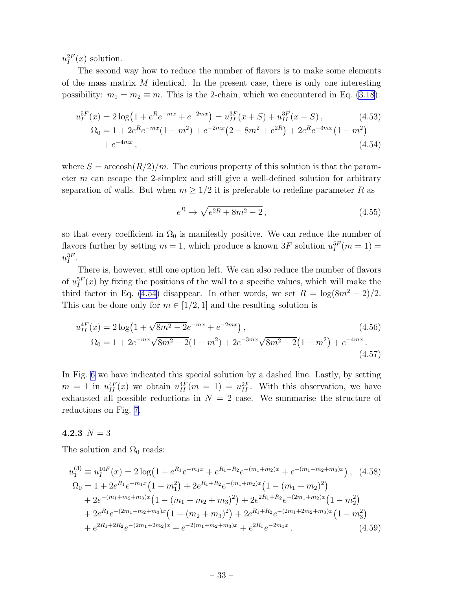$u_I^{2F}(x)$  solution.

The second way how to reduce the number of flavors is to make some elements of the mass matrix  $M$  identical. In the present case, there is only one interesting possibility:  $m_1 = m_2 \equiv m$ . This is the 2-chain, which we encountered in Eq. [\(3.18](#page-17-0)):

$$
u_I^{5F}(x) = 2\log\left(1 + e^R e^{-mx} + e^{-2mx}\right) = u_{II}^{3F}(x+S) + u_{II}^{3F}(x-S),
$$
\n
$$
\Omega_0 = 1 + 2e^R e^{-mx}\left(1 - m^2\right) + e^{-2mx}\left(2 - 8m^2 + e^{2R}\right) + 2e^R e^{-3mx}\left(1 - m^2\right)
$$
\n
$$
+ e^{-4mx},
$$
\n(4.54)

where  $S = \arccosh(R/2)/m$ . The curious property of this solution is that the parameter m can escape the 2-simplex and still give a well-defined solution for arbitrary separation of walls. But when  $m \geq 1/2$  it is preferable to redefine parameter R as

$$
e^{R} \to \sqrt{e^{2R} + 8m^{2} - 2}, \qquad (4.55)
$$

so that every coefficient in  $\Omega_0$  is manifestly positive. We can reduce the number of flavors further by setting  $m = 1$ , which produce a known 3F solution  $u_I^{5F}(m = 1) =$  $u_{I}^{3F}.$ 

There is, however, still one option left. We can also reduce the number of flavors of  $u_I^{5F}(x)$  by fixing the positions of the wall to a specific values, which will make the third factor in Eq. (4.54) disappear. In other words, we set  $R = \log(8m^2 - 2)/2$ . This can be done only for  $m \in [1/2, 1]$  and the resulting solution is

$$
u_{II}^{4F}(x) = 2\log\left(1 + \sqrt{8m^2 - 2}e^{-mx} + e^{-2mx}\right),\tag{4.56}
$$
  

$$
\Omega_0 = 1 + 2e^{-mx}\sqrt{8m^2 - 2}(1 - m^2) + 2e^{-3mx}\sqrt{8m^2 - 2}(1 - m^2) + e^{-4mx}.
$$
  

$$
(4.57)
$$

In Fig. [6](#page-32-0) we have indicated this special solution by a dashed line. Lastly, by setting  $m = 1$  in  $u_{II}^{4F}(x)$  we obtain  $u_{II}^{4F}(m = 1) = u_{II}^{2F}$ . With this observation, we have exhausted all possible reductions in  $N = 2$  case. We summarise the structure of reductions on Fig. [7](#page-34-0).

## 4.2.3  $N = 3$

The solution and  $\Omega_0$  reads:

$$
u_1^{(3)} \equiv u_1^{10F}(x) = 2\log\left(1 + e^{R_1}e^{-m_1x} + e^{R_1+R_2}e^{-(m_1+m_2)x} + e^{-(m_1+m_2+m_3)x}\right), \quad (4.58)
$$
  
\n
$$
\Omega_0 = 1 + 2e^{R_1}e^{-m_1x}\left(1 - m_1^2\right) + 2e^{R_1+R_2}e^{-(m_1+m_2)x}\left(1 - (m_1+m_2)^2\right) \n+ 2e^{-(m_1+m_2+m_3)x}\left(1 - (m_1+m_2+m_3)^2\right) + 2e^{2R_1+R_2}e^{-(2m_1+m_2)x}\left(1 - m_2^2\right) \n+ 2e^{R_1}e^{-(2m_1+m_2+m_3)x}\left(1 - (m_2+m_3)^2\right) + 2e^{R_1+R_2}e^{-(2m_1+2m_2+m_3)x}\left(1 - m_3^2\right) \n+ e^{2R_1+2R_2}e^{-(2m_1+2m_2)x} + e^{-2(m_1+m_2+m_3)x} + e^{2R_1}e^{-2m_1x}. \quad (4.59)
$$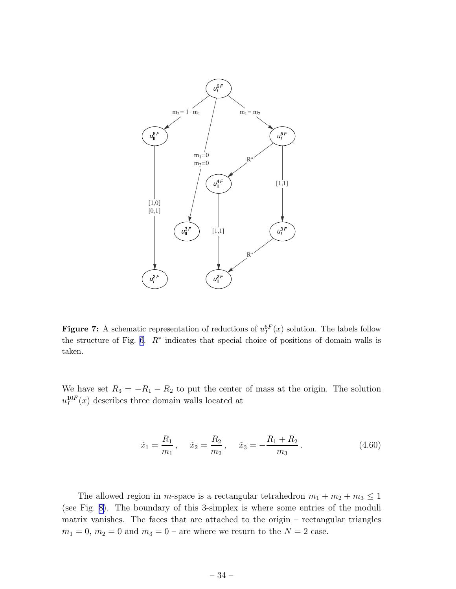<span id="page-34-0"></span>

**Figure 7:** A schematic representation of reductions of  $u_I^{6F}(x)$  solution. The labels follow the structure of Fig. [6](#page-32-0).  $R^*$  indicates that special choice of positions of domain walls is taken.

We have set  $R_3 = -R_1 - R_2$  to put the center of mass at the origin. The solution  $u_I^{10F}(x)$  describes three domain walls located at

$$
\tilde{x}_1 = \frac{R_1}{m_1}, \quad \tilde{x}_2 = \frac{R_2}{m_2}, \quad \tilde{x}_3 = -\frac{R_1 + R_2}{m_3}.
$$
\n(4.60)

The allowed region in m-space is a rectangular tetrahedron  $m_1 + m_2 + m_3 \leq 1$ (see Fig. [8\)](#page-35-0). The boundary of this 3-simplex is where some entries of the moduli matrix vanishes. The faces that are attached to the origin – rectangular triangles  $m_1 = 0$ ,  $m_2 = 0$  and  $m_3 = 0$  – are where we return to the  $N = 2$  case.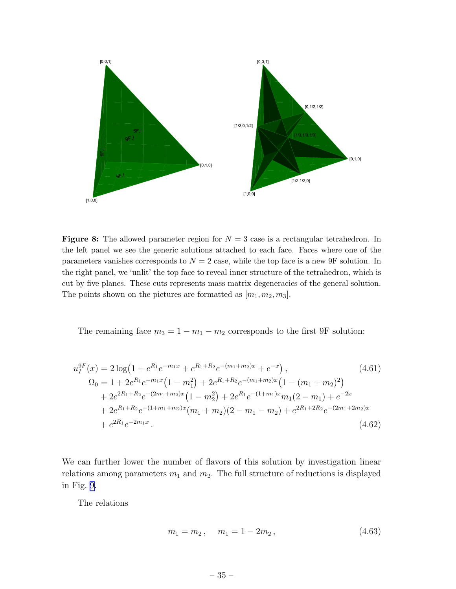<span id="page-35-0"></span>

**Figure 8:** The allowed parameter region for  $N = 3$  case is a rectangular tetrahedron. In the left panel we see the generic solutions attached to each face. Faces where one of the parameters vanishes corresponds to  $N = 2$  case, while the top face is a new 9F solution. In the right panel, we 'unlit' the top face to reveal inner structure of the tetrahedron, which is cut by five planes. These cuts represents mass matrix degeneracies of the general solution. The points shown on the pictures are formatted as  $[m_1, m_2, m_3]$ .

The remaining face  $m_3 = 1 - m_1 - m_2$  corresponds to the first 9F solution:

$$
u_1^{9F}(x) = 2\log\left(1 + e^{R_1}e^{-m_1x} + e^{R_1+R_2}e^{-(m_1+m_2)x} + e^{-x}\right),
$$
\n
$$
\Omega_0 = 1 + 2e^{R_1}e^{-m_1x}\left(1 - m_1^2\right) + 2e^{R_1+R_2}e^{-(m_1+m_2)x}\left(1 - (m_1+m_2)^2\right)
$$
\n
$$
+ 2e^{2R_1+R_2}e^{-(2m_1+m_2)x}\left(1 - m_2^2\right) + 2e^{R_1}e^{-(1+m_1)x}m_1(2-m_1) + e^{-2x}
$$
\n
$$
+ 2e^{R_1+R_2}e^{-(1+m_1+m_2)x}\left(m_1+m_2\right)(2-m_1-m_2) + e^{2R_1+2R_2}e^{-(2m_1+2m_2)x}
$$
\n
$$
+ e^{2R_1}e^{-2m_1x}.
$$
\n(4.62)

We can further lower the number of flavors of this solution by investigation linear relations among parameters  $m_1$  and  $m_2$ . The full structure of reductions is displayed in Fig. [9.](#page-36-0)

The relations

$$
m_1 = m_2, \quad m_1 = 1 - 2m_2, \tag{4.63}
$$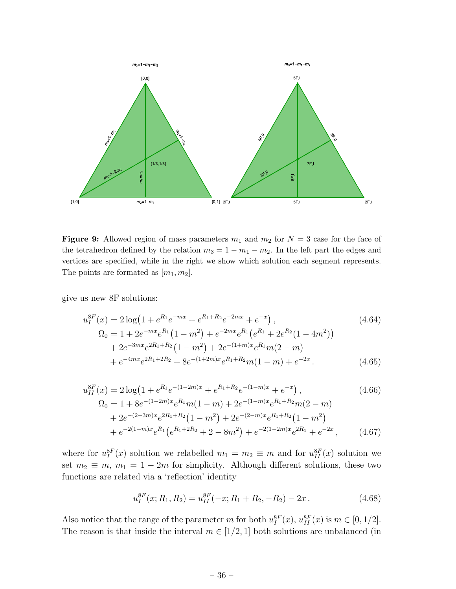<span id="page-36-0"></span>

Figure 9: Allowed region of mass parameters  $m_1$  and  $m_2$  for  $N = 3$  case for the face of the tetrahedron defined by the relation  $m_3 = 1 - m_1 - m_2$ . In the left part the edges and vertices are specified, while in the right we show which solution each segment represents. The points are formated as  $[m_1, m_2]$ .

give us new 8F solutions:

$$
u_{I}^{8F}(x) = 2\log\left(1 + e^{R_1}e^{-mx} + e^{R_1 + R_2}e^{-2mx} + e^{-x}\right),
$$
\n
$$
\Omega_{0} = 1 + 2e^{-mx}e^{R_1}\left(1 - m^2\right) + e^{-2mx}e^{R_1}\left(e^{R_1} + 2e^{R_2}(1 - 4m^2)\right)
$$
\n
$$
+ 2e^{-3mx}e^{2R_1 + R_2}\left(1 - m^2\right) + 2e^{-(1+m)x}e^{R_1}m(2 - m)
$$
\n
$$
+ e^{-4mx}e^{2R_1 + 2R_2} + 8e^{-(1+2m)x}e^{R_1 + R_2}m(1 - m) + e^{-2x}.
$$
\n(4.65)

$$
u_{II}^{8F}(x) = 2\log\left(1 + e^{R_1}e^{-(1-2m)x} + e^{R_1+R_2}e^{-(1-m)x} + e^{-x}\right),
$$
\n
$$
\Omega_0 = 1 + 8e^{-(1-2m)x}e^{R_1}m(1-m) + 2e^{-(1-m)x}e^{R_1+R_2}m(2-m)
$$
\n
$$
+ 2e^{-(2-3m)x}e^{2R_1+R_2}(1-m^2) + 2e^{-(2-m)x}e^{R_1+R_2}(1-m^2)
$$
\n
$$
+ e^{-2(1-m)x}e^{R_1}\left(e^{R_1+2R_2} + 2 - 8m^2\right) + e^{-2(1-2m)x}e^{2R_1} + e^{-2x},
$$
\n(4.67)

where for  $u_I^{8F}(x)$  solution we relabelled  $m_1 = m_2 \equiv m$  and for  $u_{II}^{8F}(x)$  solution we set  $m_2 \equiv m, m_1 = 1 - 2m$  for simplicity. Although different solutions, these two functions are related via a 'reflection' identity

$$
u_I^{8F}(x; R_1, R_2) = u_{II}^{8F}(-x; R_1 + R_2, -R_2) - 2x.
$$
 (4.68)

Also notice that the range of the parameter m for both  $u_I^{8F}(x)$ ,  $u_{II}^{8F}(x)$  is  $m \in [0, 1/2]$ . The reason is that inside the interval  $m \in [1/2, 1]$  both solutions are unbalanced (in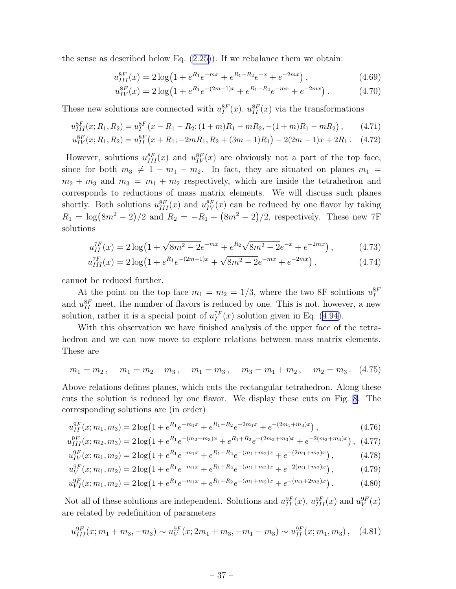thesense as described below Eq.  $(2.25)$  $(2.25)$ ). If we rebalance them we obtain:

$$
u_{III}^{8F}(x) = 2\log\left(1 + e^{R_1}e^{-mx} + e^{R_1 + R_2}e^{-x} + e^{-2mx}\right),\tag{4.69}
$$

$$
u_{IV}^{8F}(x) = 2\log\left(1 + e^{R_1}e^{-(2m-1)x} + e^{R_1 + R_2}e^{-mx} + e^{-2mx}\right). \tag{4.70}
$$

These new solutions are connected with  $u_I^{8F}(x)$ ,  $u_{II}^{8F}(x)$  via the transformations

$$
u_{III}^{8F}(x;R_1,R_2) = u_I^{8F}(x - R_1 - R_2; (1 + m)R_1 - mR_2, -(1 + m)R_1 - mR_2), \qquad (4.71)
$$

$$
u_{IV}^{8F}(x;R_1,R_2) = u_{II}^{8F}(x+R_1;-2mR_1,R_2+(3m-1)R_1) - 2(2m-1)x + 2R_1.
$$
 (4.72)

However, solutions  $u_{III}^{8F}(x)$  and  $u_{IV}^{8F}(x)$  are obviously not a part of the top face, since for both  $m_3 \neq 1 - m_1 - m_2$ . In fact, they are situated on planes  $m_1 =$  $m_2 + m_3$  and  $m_3 = m_1 + m_2$  respectively, which are inside the tetrahedron and corresponds to reductions of mass matrix elements. We will discuss such planes shortly. Both solutions  $u_{III}^{8F}(x)$  and  $u_{IV}^{8F}(x)$  can be reduced by one flavor by taking  $R_1 = \log(8m^2 - 2)/2$  and  $R_2 = -R_1 + (8m^2 - 2)/2$ , respectively. These new 7F solutions

$$
u_{II}^{7F}(x) = 2\log\left(1 + \sqrt{8m^2 - 2}e^{-mx} + e^{R_2}\sqrt{8m^2 - 2}e^{-x} + e^{-2mx}\right),\tag{4.73}
$$

$$
u_{III}^{7F}(x) = 2\log\left(1 + e^{R_1}e^{-(2m-1)x} + \sqrt{8m^2 - 2}e^{-mx} + e^{-2mx}\right),\tag{4.74}
$$

cannot be reduced further.

At the point on the top face  $m_1 = m_2 = 1/3$ , where the two 8F solutions  $u_I^{8F}$ and  $u_{II}^{8F}$  meet, the number of flavors is reduced by one. This is not, however, a new solution, rather it is a special point of  $u_I^{7F}(x)$  solution given in Eq. [\(4.94](#page-39-0)).

With this observation we have finished analysis of the upper face of the tetrahedron and we can now move to explore relations between mass matrix elements. These are

$$
m_1 = m_2
$$
,  $m_1 = m_2 + m_3$ ,  $m_1 = m_3$ ,  $m_3 = m_1 + m_2$ ,  $m_2 = m_3$ . (4.75)

Above relations defines planes, which cuts the rectangular tetrahedron. Along these cuts the solution is reduced by one flavor. We display these cuts on Fig. [8](#page-35-0). The corresponding solutions are (in order)

$$
u_{II}^{9F}(x; m_1, m_3) = 2\log\left(1 + e^{R_1}e^{-m_1x} + e^{R_1 + R_2}e^{-2m_1x} + e^{-(2m_1 + m_3)x}\right),\tag{4.76}
$$

$$
u_{III}^{9F}(x; m_2, m_3) = 2\log\left(1 + e^{R_1}e^{-(m_2 + m_3)x} + e^{R_1 + R_2}e^{-(2m_2 + m_3)x} + e^{-2(m_2 + m_3)x}\right),
$$
 (4.77)

$$
u_{IV}^{9F}(x; m_1, m_2) = 2\log\left(1 + e^{R_1}e^{-m_1x} + e^{R_1 + R_2}e^{-(m_1 + m_2)x} + e^{-(2m_1 + m_2)x}\right),\tag{4.78}
$$

$$
u_V^{9F}(x; m_1, m_2) = 2\log\left(1 + e^{R_1}e^{-m_1x} + e^{R_1 + R_2}e^{-(m_1 + m_2)x} + e^{-2(m_1 + m_2)x}\right),\tag{4.79}
$$

$$
u_{VI}^{9F}(x; m_1, m_2) = 2\log\left(1 + e^{R_1}e^{-m_1x} + e^{R_1 + R_2}e^{-(m_1 + m_2)x} + e^{-(m_1 + 2m_2)x}\right). \tag{4.80}
$$

Not all of these solutions are independent. Solutions and  $u_{II}^{9F}(x)$ ,  $u_{III}^{9F}(x)$  and  $u_{V}^{9F}(x)$ are related by redefinition of parameters

$$
u_{III}^{9F}(x; m_1 + m_3, -m_3) \sim u_V^{9F}(x; 2m_1 + m_3, -m_1 - m_3) \sim u_{II}^{9F}(x; m_1, m_3), \quad (4.81)
$$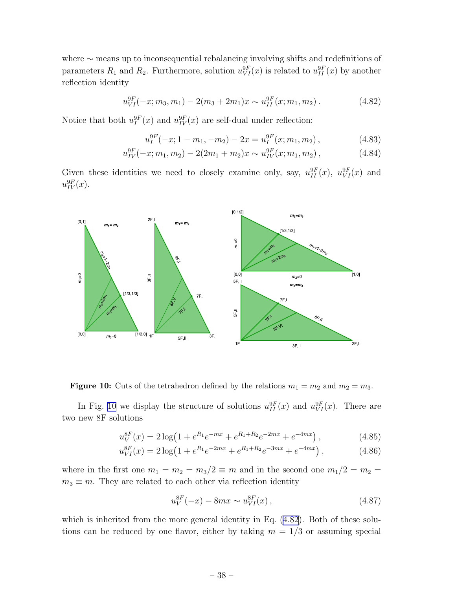<span id="page-38-0"></span>where ∼ means up to inconsequential rebalancing involving shifts and redefinitions of parameters  $R_1$  and  $R_2$ . Furthermore, solution  $u_{VI}^{9F}(x)$  is related to  $u_{II}^{9F}(x)$  by another reflection identity

$$
u_{VI}^{9F}(-x; m_3, m_1) - 2(m_3 + 2m_1)x \sim u_{II}^{9F}(x; m_1, m_2).
$$
 (4.82)

Notice that both  $u_I^{9F}(x)$  and  $u_{IV}^{9F}(x)$  are self-dual under reflection:

$$
u_I^{9F}(-x; 1 - m_1, -m_2) - 2x = u_I^{9F}(x; m_1, m_2), \qquad (4.83)
$$

$$
u_{IV}^{9F}(-x; m_1, m_2) - 2(2m_1 + m_2)x \sim u_{IV}^{9F}(x; m_1, m_2), \qquad (4.84)
$$

Given these identities we need to closely examine only, say,  $u_{II}^{9F}(x)$ ,  $u_{VI}^{9F}(x)$  and  $u_{IV}^{9F}(x)$ .



**Figure 10:** Cuts of the tetrahedron defined by the relations  $m_1 = m_2$  and  $m_2 = m_3$ .

In Fig. 10 we display the structure of solutions  $u_{II}^{9F}(x)$  and  $u_{VI}^{9F}(x)$ . There are two new 8F solutions

$$
u_V^{8F}(x) = 2\log\left(1 + e^{R_1}e^{-mx} + e^{R_1 + R_2}e^{-2mx} + e^{-4mx}\right),\tag{4.85}
$$

$$
u_{VI}^{8F}(x) = 2\log\left(1 + e^{R_1}e^{-2mx} + e^{R_1 + R_2}e^{-3mx} + e^{-4mx}\right),\tag{4.86}
$$

where in the first one  $m_1 = m_2 = m_3/2 \equiv m$  and in the second one  $m_1/2 = m_2 =$  $m_3 \equiv m$ . They are related to each other via reflection identity

$$
u_V^{8F}(-x) - 8mx \sim u_{VI}^{8F}(x) , \qquad (4.87)
$$

which is inherited from the more general identity in Eq.  $(4.82)$ . Both of these solutions can be reduced by one flavor, either by taking  $m = 1/3$  or assuming special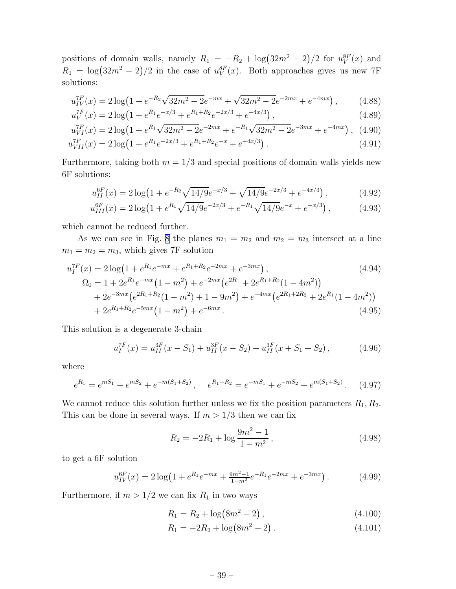<span id="page-39-0"></span>positions of domain walls, namely  $R_1 = -R_2 + \log(32m^2 - 2)/2$  for  $u_V^{8F}(x)$  and  $R_1 = \log(32m^2 - 2)/2$  in the case of  $u_V^{8F}(x)$ . Both approaches gives us new 7F solutions:

$$
u_{IV}^{7F}(x) = 2\log\left(1 + e^{-R_2}\sqrt{32m^2 - 2}e^{-mx} + \sqrt{32m^2 - 2}e^{-2mx} + e^{-4mx}\right),\tag{4.88}
$$

$$
u_V^{7F}(x) = 2\log\left(1 + e^{R_1}e^{-x/3} + e^{R_1 + R_2}e^{-2x/3} + e^{-4x/3}\right),\tag{4.89}
$$

$$
u_{VI}^{7F}(x) = 2\log\left(1 + e^{R_1}\sqrt{32m^2 - 2}e^{-2mx} + e^{-R_1}\sqrt{32m^2 - 2}e^{-3mx} + e^{-4mx}\right), (4.90)
$$

$$
u_{VII}^{7F}(x) = 2\log\left(1 + e^{R_1}e^{-2x/3} + e^{R_1 + R_2}e^{-x} + e^{-4x/3}\right). \tag{4.91}
$$

Furthermore, taking both  $m = 1/3$  and special positions of domain walls yields new 6F solutions:

$$
u_{II}^{6F}(x) = 2\log\left(1 + e^{-R_2}\sqrt{14/9}e^{-x/3} + \sqrt{14/9}e^{-2x/3} + e^{-4x/3}\right),\tag{4.92}
$$

$$
u_{III}^{6F}(x) = 2\log\left(1 + e^{R_1}\sqrt{14/9}e^{-2x/3} + e^{-R_1}\sqrt{14/9}e^{-x} + e^{-x/3}\right),\tag{4.93}
$$

which cannot be reduced further.

As we can see in Fig. [8](#page-35-0) the planes  $m_1 = m_2$  and  $m_2 = m_3$  intersect at a line  $m_1 = m_2 = m_3$ , which gives 7F solution

$$
u_I^{7F}(x) = 2\log\left(1 + e^{R_1}e^{-mx} + e^{R_1 + R_2}e^{-2mx} + e^{-3mx}\right),
$$
  
\n
$$
\Omega_0 = 1 + 2e^{R_1}e^{-mx}\left(1 - m^2\right) + e^{-2mx}\left(e^{2R_1} + 2e^{R_1 + R_2}(1 - 4m^2)\right)
$$
  
\n
$$
+ 2e^{-3mx}\left(e^{2R_1 + R_2}(1 - m^2) + 1 - 9m^2\right) + e^{-4mx}\left(e^{2R_1 + 2R_2} + 2e^{R_1}(1 - 4m^2)\right)
$$
  
\n
$$
+ 2e^{R_1 + R_2}e^{-5mx}\left(1 - m^2\right) + e^{-6mx}.
$$
\n(4.95)

This solution is a degenerate 3-chain

$$
u_I^{TF}(x) = u_{II}^{3F}(x - S_1) + u_{II}^{3F}(x - S_2) + u_{II}^{3F}(x + S_1 + S_2), \qquad (4.96)
$$

where

$$
e^{R_1} = e^{mS_1} + e^{mS_2} + e^{-m(S_1 + S_2)}, \quad e^{R_1 + R_2} = e^{-mS_1} + e^{-mS_2} + e^{m(S_1 + S_2)}.
$$
 (4.97)

We cannot reduce this solution further unless we fix the position parameters  $R_1, R_2$ . This can be done in several ways. If  $m > 1/3$  then we can fix

$$
R_2 = -2R_1 + \log \frac{9m^2 - 1}{1 - m^2},
$$
\n(4.98)

to get a 6F solution

$$
u_{IV}^{6F}(x) = 2\log\left(1 + e^{R_1}e^{-mx} + \frac{9m^2 - 1}{1 - m^2}e^{-R_1}e^{-2mx} + e^{-3mx}\right). \tag{4.99}
$$

Furthermore, if  $m > 1/2$  we can fix  $R_1$  in two ways

$$
R_1 = R_2 + \log(8m^2 - 2) ,\t\t(4.100)
$$

$$
R_1 = -2R_2 + \log(8m^2 - 2) \,. \tag{4.101}
$$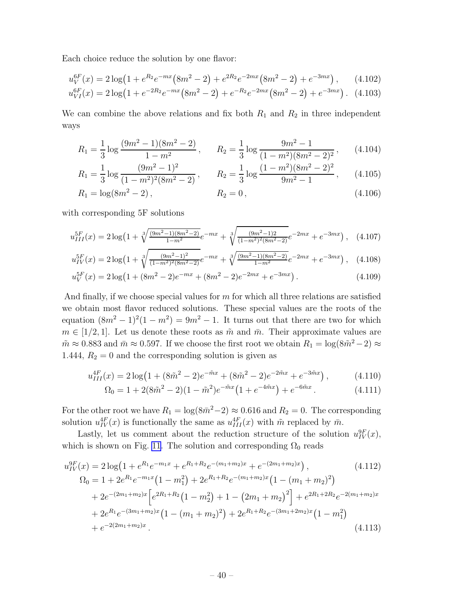Each choice reduce the solution by one flavor:

$$
u_V^{6F}(x) = 2\log\left(1 + e^{R_2}e^{-mx}\left(8m^2 - 2\right) + e^{2R_2}e^{-2mx}\left(8m^2 - 2\right) + e^{-3mx}\right),\tag{4.102}
$$

$$
u_{VI}^{6F}(x) = 2\log(1 + e^{-2R_2}e^{-mx}(8m^2 - 2) + e^{-R_2}e^{-2mx}(8m^2 - 2) + e^{-3mx}). \tag{4.103}
$$

We can combine the above relations and fix both  $R_1$  and  $R_2$  in three independent ways

$$
R_1 = \frac{1}{3} \log \frac{(9m^2 - 1)(8m^2 - 2)}{1 - m^2}, \qquad R_2 = \frac{1}{3} \log \frac{9m^2 - 1}{(1 - m^2)(8m^2 - 2)^2}, \qquad (4.104)
$$

$$
R_1 = \frac{1}{3} \log \frac{(9m^2 - 1)^2}{(1 - m^2)^2 (8m^2 - 2)}, \qquad R_2 = \frac{1}{3} \log \frac{(1 - m^2)(8m^2 - 2)^2}{9m^2 - 1}, \qquad (4.105)
$$

$$
R_1 = \log(8m^2 - 2), \qquad R_2 = 0, \qquad (4.106)
$$

with corresponding 5F solutions

$$
u_{III}^{5F}(x) = 2\log\left(1 + \sqrt[3]{\frac{(9m^2 - 1)(8m^2 - 2)}{1 - m^2}}e^{-mx} + \sqrt[3]{\frac{(9m^2 - 1)2}{(1 - m^2)^2(8m^2 - 2)}}e^{-2mx} + e^{-3mx}\right), \quad (4.107)
$$

$$
u_{IV}^{5F}(x) = 2\log\left(1 + \sqrt[3]{\frac{(9m^2 - 1)^2}{(1 - m^2)^2(8m^2 - 2)}}e^{-mx} + \sqrt[3]{\frac{(9m^2 - 1)(8m^2 - 2)}{1 - m^2}}e^{-2mx} + e^{-3mx}\right), \quad (4.108)
$$

$$
u_V^{5F}(x) = 2\log(1 + (8m^2 - 2)e^{-mx} + (8m^2 - 2)e^{-2mx} + e^{-3mx}).
$$
\n(4.109)

And finally, if we choose special values for  $m$  for which all three relations are satisfied we obtain most flavor reduced solutions. These special values are the roots of the equation  $(8m^2 - 1)^2(1 - m^2) = 9m^2 - 1$ . It turns out that there are two for which  $m \in [1/2, 1]$ . Let us denote these roots as  $\tilde{m}$  and  $\bar{m}$ . Their approximate values are  $\tilde{m} \approx 0.883$  and  $\bar{m} \approx 0.597$ . If we choose the first root we obtain  $R_1 = \log(8\tilde{m}^2 - 2) \approx$ 1.444,  $R_2 = 0$  and the corresponding solution is given as

$$
u_{III}^{4F}(x) = 2\log(1 + (8\tilde{m}^2 - 2)e^{-\tilde{m}x} + (8\tilde{m}^2 - 2)e^{-2\tilde{m}x} + e^{-3\tilde{m}x}), \qquad (4.110)
$$

$$
\Omega_0 = 1 + 2(8\tilde{m}^2 - 2)(1 - \tilde{m}^2)e^{-\tilde{m}x}(1 + e^{-4\tilde{m}x}) + e^{-6\tilde{m}x}.
$$
\n(4.111)

For the other root we have  $R_1 = \log(8\bar{m}^2 - 2) \approx 0.616$  and  $R_2 = 0$ . The corresponding solution  $u_{IV}^{4F}(x)$  is functionally the same as  $u_{III}^{4F}(x)$  with  $\tilde{m}$  replaced by  $\bar{m}$ .

Lastly, let us comment about the reduction structure of the solution  $u_{IV}^{9F}(x)$ , which is shown on Fig. [11](#page-41-0). The solution and corresponding  $\Omega_0$  reads

$$
u_{IV}^{9F}(x) = 2 \log \left(1 + e^{R_1} e^{-m_1 x} + e^{R_1 + R_2} e^{-(m_1 + m_2)x} + e^{-(2m_1 + m_2)x}\right),
$$
\n
$$
\Omega_0 = 1 + 2e^{R_1} e^{-m_1 x} \left(1 - m_1^2\right) + 2e^{R_1 + R_2} e^{-(m_1 + m_2)x} \left(1 - (m_1 + m_2)^2\right)
$$
\n
$$
+ 2e^{-(2m_1 + m_2)x} \left[e^{2R_1 + R_2} \left(1 - m_2^2\right) + 1 - \left(2m_1 + m_2\right)^2\right] + e^{2R_1 + 2R_2} e^{-2(m_1 + m_2)x}
$$
\n
$$
+ 2e^{R_1} e^{-(3m_1 + m_2)x} \left(1 - (m_1 + m_2)^2\right) + 2e^{R_1 + R_2} e^{-(3m_1 + 2m_2)x} \left(1 - m_1^2\right)
$$
\n
$$
+ e^{-2(2m_1 + m_2)x}.
$$
\n(4.113)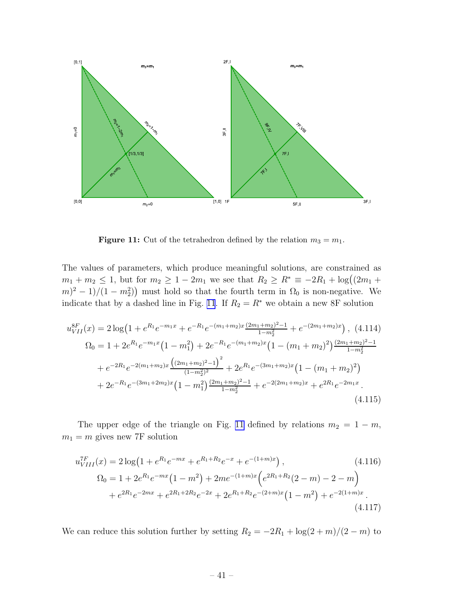<span id="page-41-0"></span>

**Figure 11:** Cut of the tetrahedron defined by the relation  $m_3 = m_1$ .

The values of parameters, which produce meaningful solutions, are constrained as  $m_1 + m_2 \le 1$ , but for  $m_2 \ge 1 - 2m_1$  we see that  $R_2 \ge R^* \equiv -2R_1 + \log((2m_1 +$  $(m)^2 - 1/(1 - m_2^2)$  must hold so that the fourth term in  $\Omega_0$  is non-negative. We indicate that by a dashed line in Fig. 11. If  $R_2 = R^*$  we obtain a new 8F solution

$$
u_{VII}^{8F}(x) = 2\log\left(1 + e^{R_1}e^{-m_1x} + e^{-R_1}e^{-(m_1+m_2)x}\frac{(2m_1+m_2)^2-1}{1-m_2^2} + e^{-(2m_1+m_2)x}\right), (4.114)
$$
  
\n
$$
\Omega_0 = 1 + 2e^{R_1}e^{-m_1x}\left(1 - m_1^2\right) + 2e^{-R_1}e^{-(m_1+m_2)x}\left(1 - (m_1+m_2)^2\right)\frac{(2m_1+m_2)^2-1}{1-m_2^2} + e^{-2R_1}e^{-2(m_1+m_2)x}\frac{\left((2m_1+m_2)^2-1\right)^2}{(1-m_2^2)^2} + 2e^{R_1}e^{-(3m_1+m_2)x}\left(1 - (m_1+m_2)^2\right) + 2e^{-R_1}e^{-(3m_1+2m_2)x}\left(1 - m_1^2\right)\frac{(2m_1+m_2)^2-1}{1-m_2^2} + e^{-2(2m_1+m_2)x} + e^{2R_1}e^{-2m_1x}.
$$
  
\n(4.115)

The upper edge of the triangle on Fig. 11 defined by relations  $m_2 = 1 - m$ ,  $m_1 = m$  gives new 7F solution

$$
u_{VIII}^{TF}(x) = 2\log\left(1 + e^{R_1}e^{-mx} + e^{R_1 + R_2}e^{-x} + e^{-(1+m)x}\right),
$$
\n
$$
\Omega_0 = 1 + 2e^{R_1}e^{-mx}\left(1 - m^2\right) + 2me^{-(1+m)x}\left(e^{2R_1 + R_2}(2 - m) - 2 - m\right)
$$
\n
$$
+ e^{2R_1}e^{-2mx} + e^{2R_1 + 2R_2}e^{-2x} + 2e^{R_1 + R_2}e^{-(2+m)x}\left(1 - m^2\right) + e^{-2(1+m)x}.
$$
\n(4.117)

We can reduce this solution further by setting  $R_2 = -2R_1 + \log(2+m)/(2-m)$  to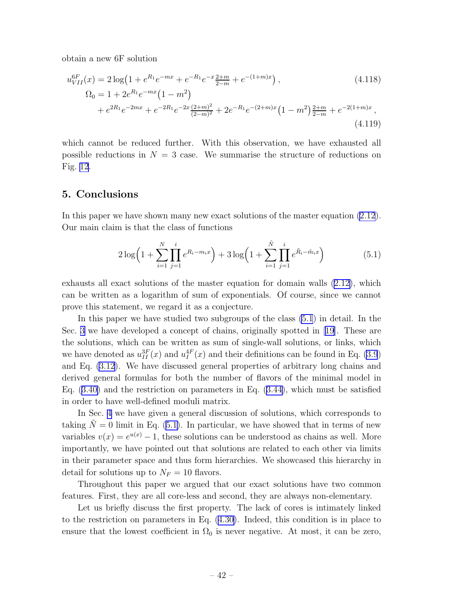<span id="page-42-0"></span>obtain a new 6F solution

$$
u_{VII}^{6F}(x) = 2\log\left(1 + e^{R_1}e^{-mx} + e^{-R_1}e^{-x}\frac{2+m}{2-m} + e^{-(1+m)x}\right),
$$
\n
$$
\Omega_0 = 1 + 2e^{R_1}e^{-mx}\left(1 - m^2\right)
$$
\n
$$
+ e^{2R_1}e^{-2mx} + e^{-2R_1}e^{-2x}\frac{(2+m)^2}{(2-m)^2} + 2e^{-R_1}e^{-(2+m)x}\left(1 - m^2\right)\frac{2+m}{2-m} + e^{-2(1+m)x},
$$
\n(4.119)

which cannot be reduced further. With this observation, we have exhausted all possible reductions in  $N = 3$  case. We summarise the structure of reductions on Fig. [12](#page-46-0).

# 5. Conclusions

In this paper we have shown many new exact solutions of the master equation [\(2.12](#page-5-0)). Our main claim is that the class of functions

$$
2\log\left(1+\sum_{i=1}^{N}\prod_{j=1}^{i}e^{R_i-m_ix}\right)+3\log\left(1+\sum_{i=1}^{\tilde{N}}\prod_{j=1}^{i}e^{\tilde{R}_i-\tilde{m}_ix}\right) \tag{5.1}
$$

exhausts all exact solutions of the master equation for domain walls ([2.12\)](#page-5-0), which can be written as a logarithm of sum of exponentials. Of course, since we cannot prove this statement, we regard it as a conjecture.

In this paper we have studied two subgroups of the class (5.1) in detail. In the Sec. [3](#page-13-0) we have developed a concept of chains, originally spotted in [\[19\]](#page-45-0). These are the solutions, which can be written as sum of single-wall solutions, or links, which we have denoted as  $u_{II}^{3F}(x)$  and  $u_I^{4F}(x)$  and their definitions can be found in Eq. [\(3.9](#page-15-0)) and Eq. [\(3.12](#page-16-0)). We have discussed general properties of arbitrary long chains and derived general formulas for both the number of flavors of the minimal model in Eq.([3.40\)](#page-22-0) and the restriction on parameters in Eq.([3.44\)](#page-23-0), which must be satisfied in order to have well-defined moduli matrix.

In Sec. [4](#page-25-0) we have given a general discussion of solutions, which corresponds to taking  $\tilde{N} = 0$  limit in Eq. (5.1). In particular, we have showed that in terms of new variables  $v(x) = e^{u(x)} - 1$ , these solutions can be understood as chains as well. More importantly, we have pointed out that solutions are related to each other via limits in their parameter space and thus form hierarchies. We showcased this hierarchy in detail for solutions up to  $N_F = 10$  flavors.

Throughout this paper we argued that our exact solutions have two common features. First, they are all core-less and second, they are always non-elementary.

Let us briefly discuss the first property. The lack of cores is intimately linked to the restriction on parameters in Eq. [\(4.30\)](#page-28-0). Indeed, this condition is in place to ensure that the lowest coefficient in  $\Omega_0$  is never negative. At most, it can be zero,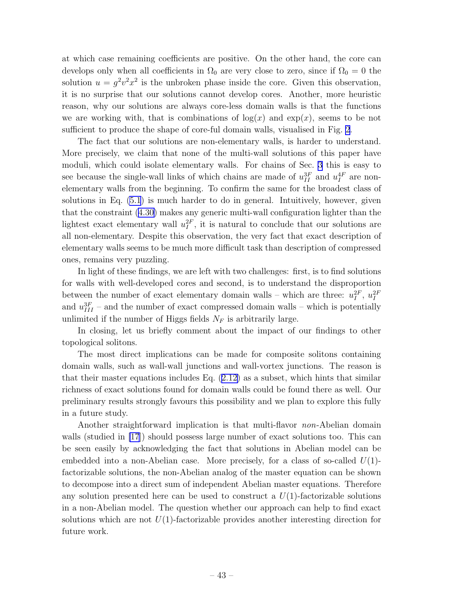at which case remaining coefficients are positive. On the other hand, the core can develops only when all coefficients in  $\Omega_0$  are very close to zero, since if  $\Omega_0 = 0$  the solution  $u = g^2 v^2 x^2$  is the unbroken phase inside the core. Given this observation, it is no surprise that our solutions cannot develop cores. Another, more heuristic reason, why our solutions are always core-less domain walls is that the functions we are working with, that is combinations of  $log(x)$  and  $exp(x)$ , seems to be not sufficient to produce the shape of core-ful domain walls, visualised in Fig. [2](#page-10-0).

The fact that our solutions are non-elementary walls, is harder to understand. More precisely, we claim that none of the multi-wall solutions of this paper have moduli, which could isolate elementary walls. For chains of Sec. [3](#page-13-0) this is easy to see because the single-wall links of which chains are made of  $u_{II}^{3F}$  and  $u_I^{4F}$  are nonelementary walls from the beginning. To confirm the same for the broadest class of solutions in Eq. [\(5.1](#page-42-0)) is much harder to do in general. Intuitively, however, given that the constraint([4.30\)](#page-28-0) makes any generic multi-wall configuration lighter than the lightest exact elementary wall  $u_I^{2F}$ , it is natural to conclude that our solutions are all non-elementary. Despite this observation, the very fact that exact description of elementary walls seems to be much more difficult task than description of compressed ones, remains very puzzling.

In light of these findings, we are left with two challenges: first, is to find solutions for walls with well-developed cores and second, is to understand the disproportion between the number of exact elementary domain walls – which are three:  $u_I^{2F}$ ,  $u_I^{2F}$ and  $u_{III}^{3F}$  – and the number of exact compressed domain walls – which is potentially unlimited if the number of Higgs fields  $N_F$  is arbitrarily large.

In closing, let us briefly comment about the impact of our findings to other topological solitons.

The most direct implications can be made for composite solitons containing domain walls, such as wall-wall junctions and wall-vortex junctions. The reason is that their master equations includes Eq.([2.12\)](#page-5-0) as a subset, which hints that similar richness of exact solutions found for domain walls could be found there as well. Our preliminary results strongly favours this possibility and we plan to explore this fully in a future study.

Another straightforward implication is that multi-flavor non-Abelian domain walls (studied in [\[17](#page-45-0)]) should possess large number of exact solutions too. This can be seen easily by acknowledging the fact that solutions in Abelian model can be embedded into a non-Abelian case. More precisely, for a class of so-called  $U(1)$ factorizable solutions, the non-Abelian analog of the master equation can be shown to decompose into a direct sum of independent Abelian master equations. Therefore any solution presented here can be used to construct a  $U(1)$ -factorizable solutions in a non-Abelian model. The question whether our approach can help to find exact solutions which are not  $U(1)$ -factorizable provides another interesting direction for future work.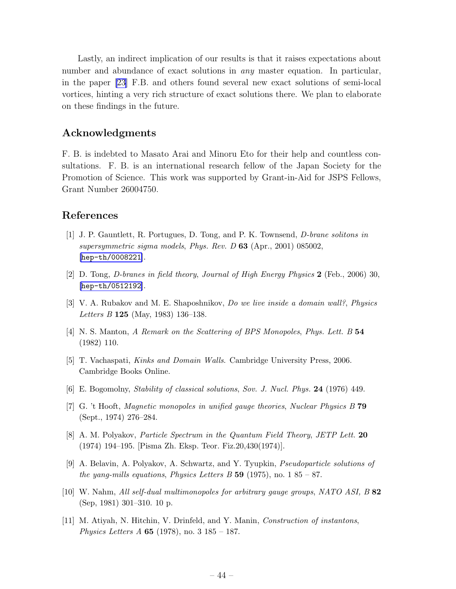<span id="page-44-0"></span>Lastly, an indirect implication of our results is that it raises expectations about number and abundance of exact solutions in *any* master equation. In particular, in the paper [\[23\]](#page-45-0) F.B. and others found several new exact solutions of semi-local vortices, hinting a very rich structure of exact solutions there. We plan to elaborate on these findings in the future.

# Acknowledgments

F. B. is indebted to Masato Arai and Minoru Eto for their help and countless consultations. F. B. is an international research fellow of the Japan Society for the Promotion of Science. This work was supported by Grant-in-Aid for JSPS Fellows, Grant Number 26004750.

# References

- [1] J. P. Gauntlett, R. Portugues, D. Tong, and P. K. Townsend, *D-brane solitons in supersymmetric sigma models*, *Phys. Rev. D* 63 (Apr., 2001) 085002, [[hep-th/0008221](http://arxiv.org/abs/hep-th/0008221)].
- [2] D. Tong, *D-branes in field theory*, *Journal of High Energy Physics* 2 (Feb., 2006) 30, [[hep-th/0512192](http://arxiv.org/abs/hep-th/0512192)].
- [3] V. A. Rubakov and M. E. Shaposhnikov, *Do we live inside a domain wall?*, *Physics Letters B* 125 (May, 1983) 136–138.
- [4] N. S. Manton, *A Remark on the Scattering of BPS Monopoles*, *Phys. Lett. B* 54 (1982) 110.
- [5] T. Vachaspati, *Kinks and Domain Walls*. Cambridge University Press, 2006. Cambridge Books Online.
- [6] E. Bogomolny, *Stability of classical solutions*, *Sov. J. Nucl. Phys.* 24 (1976) 449.
- [7] G. 't Hooft, *Magnetic monopoles in unified gauge theories*, *Nuclear Physics B* 79 (Sept., 1974) 276–284.
- [8] A. M. Polyakov, *Particle Spectrum in the Quantum Field Theory*, *JETP Lett.* 20 (1974) 194–195. [Pisma Zh. Eksp. Teor. Fiz.20,430(1974)].
- [9] A. Belavin, A. Polyakov, A. Schwartz, and Y. Tyupkin, *Pseudoparticle solutions of the yang-mills equations, Physics Letters B* 59 (1975), no.  $185 - 87$ .
- [10] W. Nahm, *All self-dual multimonopoles for arbitrary gauge groups*, *NATO ASI, B* 82 (Sep, 1981) 301–310. 10 p.
- [11] M. Atiyah, N. Hitchin, V. Drinfeld, and Y. Manin, *Construction of instantons*, *Physics Letters A* 65 (1978), no. 3 185 – 187.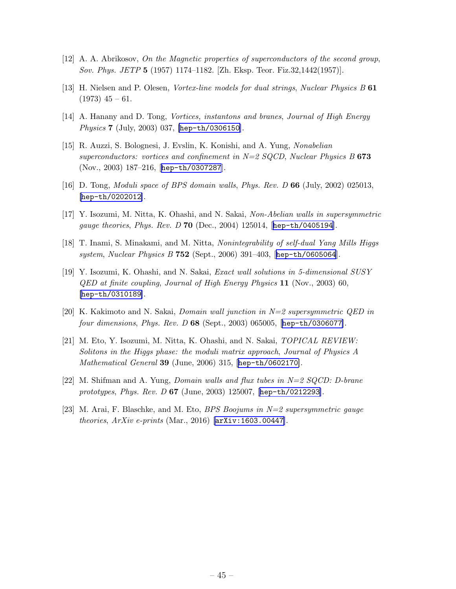- <span id="page-45-0"></span>[12] A. A. Abrikosov, *On the Magnetic properties of superconductors of the second group*, *Sov. Phys. JETP* 5 (1957) 1174–1182. [Zh. Eksp. Teor. Fiz.32,1442(1957)].
- [13] H. Nielsen and P. Olesen, *Vortex-line models for dual strings*, *Nuclear Physics B* 61  $(1973)$  45 – 61.
- [14] A. Hanany and D. Tong, *Vortices, instantons and branes*, *Journal of High Energy Physics* 7 (July, 2003) 037, [[hep-th/0306150](http://arxiv.org/abs/hep-th/0306150)].
- [15] R. Auzzi, S. Bolognesi, J. Evslin, K. Konishi, and A. Yung, *Nonabelian superconductors: vortices and confinement in N=2 SQCD*, *Nuclear Physics B* 673 (Nov., 2003) 187–216, [[hep-th/0307287](http://arxiv.org/abs/hep-th/0307287)].
- [16] D. Tong, *Moduli space of BPS domain walls*, *Phys. Rev. D* 66 (July, 2002) 025013, [[hep-th/0202012](http://arxiv.org/abs/hep-th/0202012)].
- [17] Y. Isozumi, M. Nitta, K. Ohashi, and N. Sakai, *Non-Abelian walls in supersymmetric gauge theories*, *Phys. Rev. D* 70 (Dec., 2004) 125014, [[hep-th/0405194](http://arxiv.org/abs/hep-th/0405194)].
- [18] T. Inami, S. Minakami, and M. Nitta, *Nonintegrability of self-dual Yang Mills Higgs system*, *Nuclear Physics B* 752 (Sept., 2006) 391–403, [[hep-th/0605064](http://arxiv.org/abs/hep-th/0605064)].
- [19] Y. Isozumi, K. Ohashi, and N. Sakai, *Exact wall solutions in 5-dimensional SUSY QED at finite coupling*, *Journal of High Energy Physics* 11 (Nov., 2003) 60, [[hep-th/0310189](http://arxiv.org/abs/hep-th/0310189)].
- [20] K. Kakimoto and N. Sakai, *Domain wall junction in N=2 supersymmetric QED in four dimensions*, *Phys. Rev. D* 68 (Sept., 2003) 065005, [[hep-th/0306077](http://arxiv.org/abs/hep-th/0306077)].
- [21] M. Eto, Y. Isozumi, M. Nitta, K. Ohashi, and N. Sakai, *TOPICAL REVIEW: Solitons in the Higgs phase: the moduli matrix approach*, *Journal of Physics A Mathematical General* 39 (June, 2006) 315, [[hep-th/0602170](http://arxiv.org/abs/hep-th/0602170)].
- [22] M. Shifman and A. Yung, *Domain walls and flux tubes in N=2 SQCD: D-brane prototypes*, *Phys. Rev. D* 67 (June, 2003) 125007, [[hep-th/0212293](http://arxiv.org/abs/hep-th/0212293)].
- [23] M. Arai, F. Blaschke, and M. Eto, *BPS Boojums in N=2 supersymmetric gauge theories*, *ArXiv e-prints* (Mar., 2016) [[arXiv:1603.00447](http://arxiv.org/abs/1603.00447)].